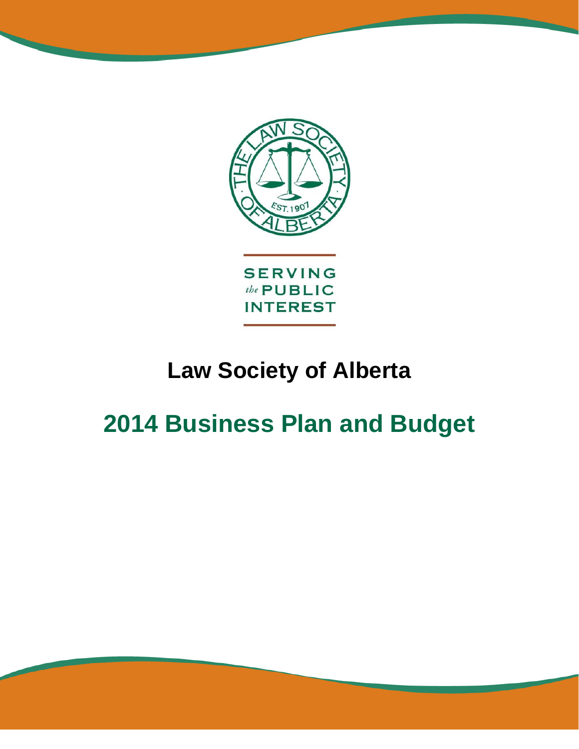

# **Law Society of Alberta**

# **2014 Business Plan and Budget**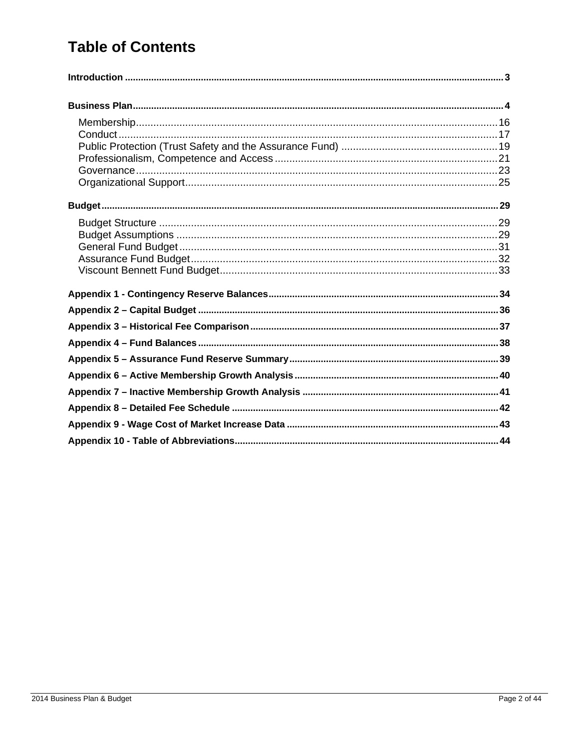# **Table of Contents**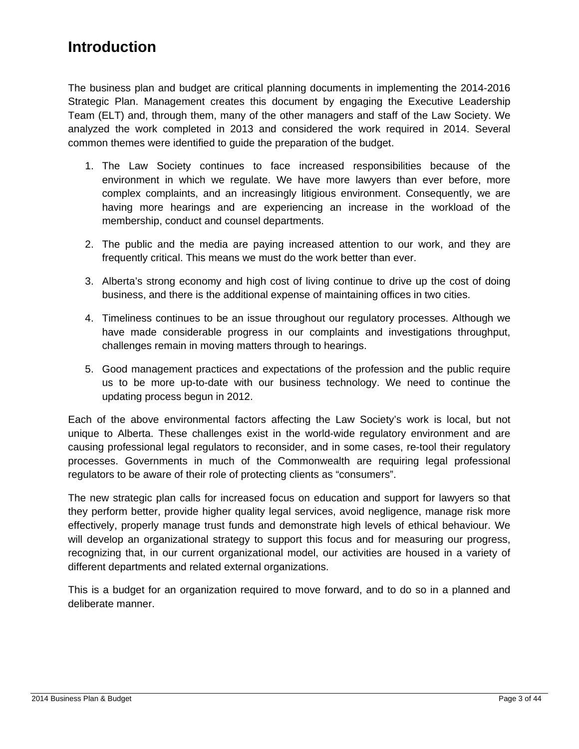# **Introduction**

The business plan and budget are critical planning documents in implementing the 2014-2016 Strategic Plan. Management creates this document by engaging the Executive Leadership Team (ELT) and, through them, many of the other managers and staff of the Law Society. We analyzed the work completed in 2013 and considered the work required in 2014. Several common themes were identified to guide the preparation of the budget.

- 1. The Law Society continues to face increased responsibilities because of the environment in which we regulate. We have more lawyers than ever before, more complex complaints, and an increasingly litigious environment. Consequently, we are having more hearings and are experiencing an increase in the workload of the membership, conduct and counsel departments.
- 2. The public and the media are paying increased attention to our work, and they are frequently critical. This means we must do the work better than ever.
- 3. Alberta's strong economy and high cost of living continue to drive up the cost of doing business, and there is the additional expense of maintaining offices in two cities.
- 4. Timeliness continues to be an issue throughout our regulatory processes. Although we have made considerable progress in our complaints and investigations throughput, challenges remain in moving matters through to hearings.
- 5. Good management practices and expectations of the profession and the public require us to be more up-to-date with our business technology. We need to continue the updating process begun in 2012.

Each of the above environmental factors affecting the Law Society's work is local, but not unique to Alberta. These challenges exist in the world-wide regulatory environment and are causing professional legal regulators to reconsider, and in some cases, re-tool their regulatory processes. Governments in much of the Commonwealth are requiring legal professional regulators to be aware of their role of protecting clients as "consumers".

The new strategic plan calls for increased focus on education and support for lawyers so that they perform better, provide higher quality legal services, avoid negligence, manage risk more effectively, properly manage trust funds and demonstrate high levels of ethical behaviour. We will develop an organizational strategy to support this focus and for measuring our progress, recognizing that, in our current organizational model, our activities are housed in a variety of different departments and related external organizations.

This is a budget for an organization required to move forward, and to do so in a planned and deliberate manner.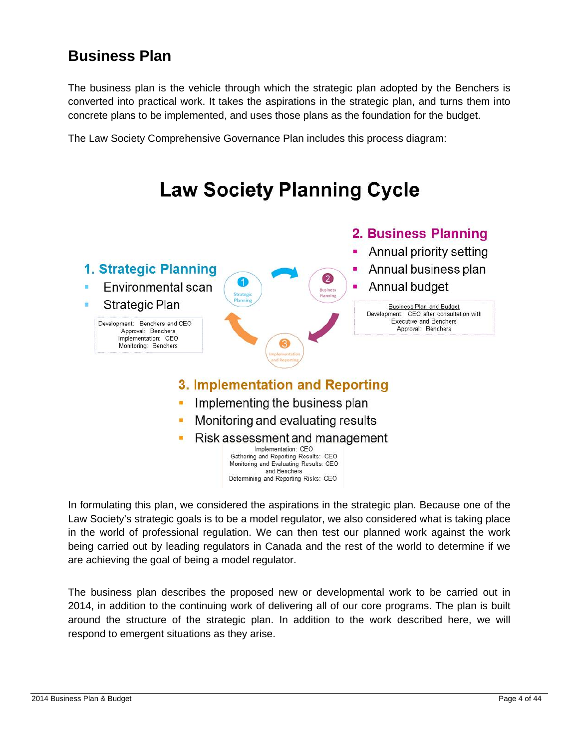# **Business Plan**

The business plan is the vehicle through which the strategic plan adopted by the Benchers is converted into practical work. It takes the aspirations in the strategic plan, and turns them into concrete plans to be implemented, and uses those plans as the foundation for the budget.

The Law Society Comprehensive Governance Plan includes this process diagram:



In formulating this plan, we considered the aspirations in the strategic plan. Because one of the Law Society's strategic goals is to be a model regulator, we also considered what is taking place in the world of professional regulation. We can then test our planned work against the work being carried out by leading regulators in Canada and the rest of the world to determine if we are achieving the goal of being a model regulator.

The business plan describes the proposed new or developmental work to be carried out in 2014, in addition to the continuing work of delivering all of our core programs. The plan is built around the structure of the strategic plan. In addition to the work described here, we will respond to emergent situations as they arise.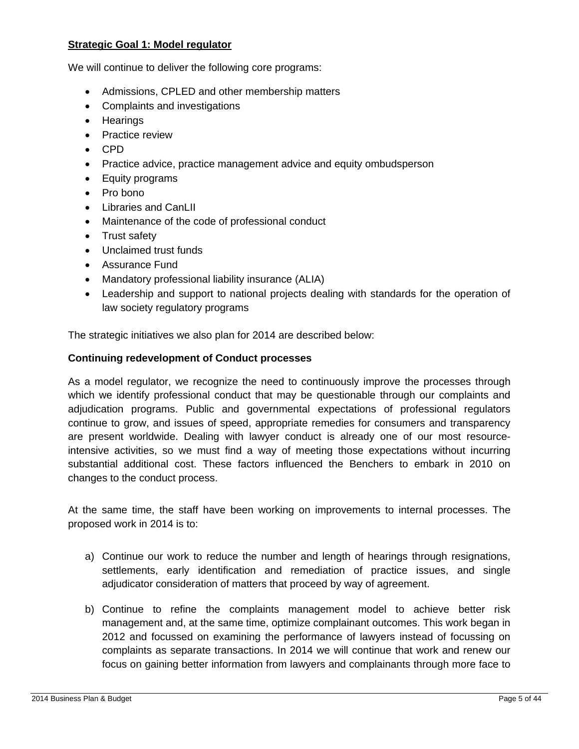#### **Strategic Goal 1: Model regulator**

We will continue to deliver the following core programs:

- Admissions, CPLED and other membership matters
- Complaints and investigations
- Hearings
- Practice review
- CPD
- Practice advice, practice management advice and equity ombudsperson
- Equity programs
- Pro bono
- Libraries and CanLII
- Maintenance of the code of professional conduct
- Trust safety
- Unclaimed trust funds
- Assurance Fund
- Mandatory professional liability insurance (ALIA)
- Leadership and support to national projects dealing with standards for the operation of law society regulatory programs

The strategic initiatives we also plan for 2014 are described below:

#### **Continuing redevelopment of Conduct processes**

As a model regulator, we recognize the need to continuously improve the processes through which we identify professional conduct that may be questionable through our complaints and adjudication programs. Public and governmental expectations of professional regulators continue to grow, and issues of speed, appropriate remedies for consumers and transparency are present worldwide. Dealing with lawyer conduct is already one of our most resourceintensive activities, so we must find a way of meeting those expectations without incurring substantial additional cost. These factors influenced the Benchers to embark in 2010 on changes to the conduct process.

At the same time, the staff have been working on improvements to internal processes. The proposed work in 2014 is to:

- a) Continue our work to reduce the number and length of hearings through resignations, settlements, early identification and remediation of practice issues, and single adjudicator consideration of matters that proceed by way of agreement.
- b) Continue to refine the complaints management model to achieve better risk management and, at the same time, optimize complainant outcomes. This work began in 2012 and focussed on examining the performance of lawyers instead of focussing on complaints as separate transactions. In 2014 we will continue that work and renew our focus on gaining better information from lawyers and complainants through more face to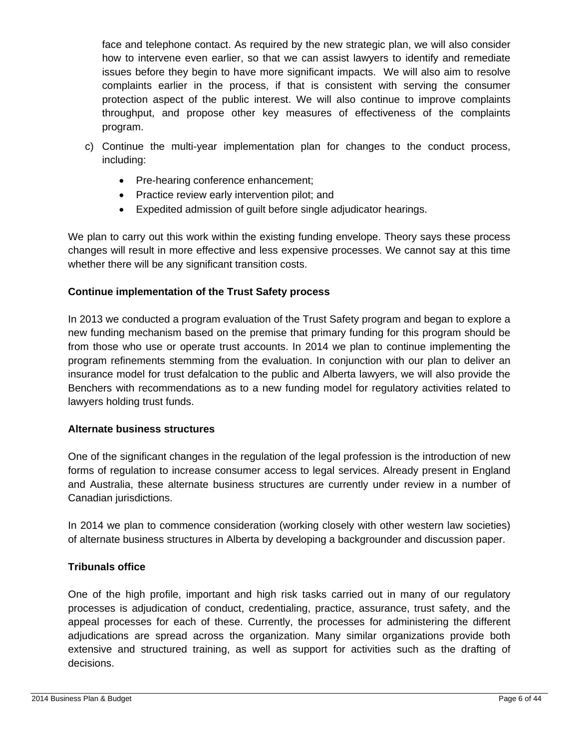face and telephone contact. As required by the new strategic plan, we will also consider how to intervene even earlier, so that we can assist lawyers to identify and remediate issues before they begin to have more significant impacts. We will also aim to resolve complaints earlier in the process, if that is consistent with serving the consumer protection aspect of the public interest. We will also continue to improve complaints throughput, and propose other key measures of effectiveness of the complaints program.

- c) Continue the multi-year implementation plan for changes to the conduct process, including:
	- Pre-hearing conference enhancement;
	- Practice review early intervention pilot; and
	- Expedited admission of guilt before single adjudicator hearings.

We plan to carry out this work within the existing funding envelope. Theory says these process changes will result in more effective and less expensive processes. We cannot say at this time whether there will be any significant transition costs.

#### **Continue implementation of the Trust Safety process**

In 2013 we conducted a program evaluation of the Trust Safety program and began to explore a new funding mechanism based on the premise that primary funding for this program should be from those who use or operate trust accounts. In 2014 we plan to continue implementing the program refinements stemming from the evaluation. In conjunction with our plan to deliver an insurance model for trust defalcation to the public and Alberta lawyers, we will also provide the Benchers with recommendations as to a new funding model for regulatory activities related to lawyers holding trust funds.

#### **Alternate business structures**

One of the significant changes in the regulation of the legal profession is the introduction of new forms of regulation to increase consumer access to legal services. Already present in England and Australia, these alternate business structures are currently under review in a number of Canadian jurisdictions.

In 2014 we plan to commence consideration (working closely with other western law societies) of alternate business structures in Alberta by developing a backgrounder and discussion paper.

#### **Tribunals office**

One of the high profile, important and high risk tasks carried out in many of our regulatory processes is adjudication of conduct, credentialing, practice, assurance, trust safety, and the appeal processes for each of these. Currently, the processes for administering the different adjudications are spread across the organization. Many similar organizations provide both extensive and structured training, as well as support for activities such as the drafting of decisions.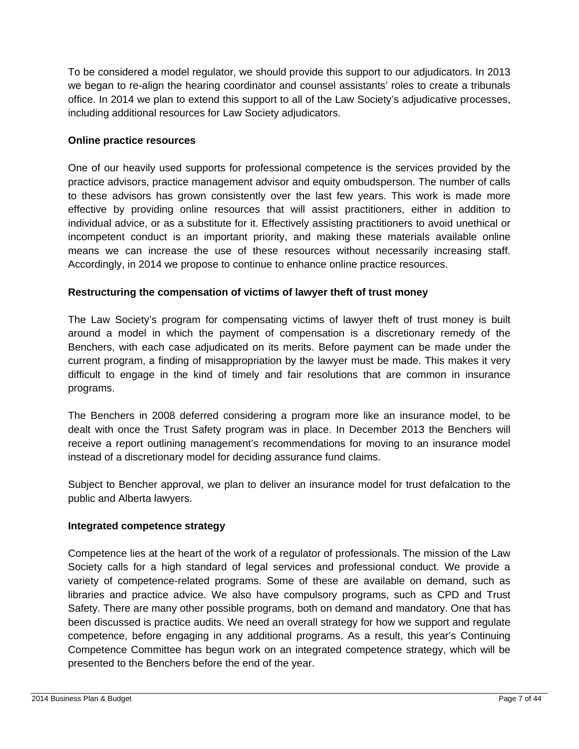To be considered a model regulator, we should provide this support to our adjudicators. In 2013 we began to re-align the hearing coordinator and counsel assistants' roles to create a tribunals office. In 2014 we plan to extend this support to all of the Law Society's adjudicative processes, including additional resources for Law Society adjudicators.

#### **Online practice resources**

One of our heavily used supports for professional competence is the services provided by the practice advisors, practice management advisor and equity ombudsperson. The number of calls to these advisors has grown consistently over the last few years. This work is made more effective by providing online resources that will assist practitioners, either in addition to individual advice, or as a substitute for it. Effectively assisting practitioners to avoid unethical or incompetent conduct is an important priority, and making these materials available online means we can increase the use of these resources without necessarily increasing staff. Accordingly, in 2014 we propose to continue to enhance online practice resources.

#### **Restructuring the compensation of victims of lawyer theft of trust money**

The Law Society's program for compensating victims of lawyer theft of trust money is built around a model in which the payment of compensation is a discretionary remedy of the Benchers, with each case adjudicated on its merits. Before payment can be made under the current program, a finding of misappropriation by the lawyer must be made. This makes it very difficult to engage in the kind of timely and fair resolutions that are common in insurance programs.

The Benchers in 2008 deferred considering a program more like an insurance model, to be dealt with once the Trust Safety program was in place. In December 2013 the Benchers will receive a report outlining management's recommendations for moving to an insurance model instead of a discretionary model for deciding assurance fund claims.

Subject to Bencher approval, we plan to deliver an insurance model for trust defalcation to the public and Alberta lawyers.

#### **Integrated competence strategy**

Competence lies at the heart of the work of a regulator of professionals. The mission of the Law Society calls for a high standard of legal services and professional conduct. We provide a variety of competence-related programs. Some of these are available on demand, such as libraries and practice advice. We also have compulsory programs, such as CPD and Trust Safety. There are many other possible programs, both on demand and mandatory. One that has been discussed is practice audits. We need an overall strategy for how we support and regulate competence, before engaging in any additional programs. As a result, this year's Continuing Competence Committee has begun work on an integrated competence strategy, which will be presented to the Benchers before the end of the year.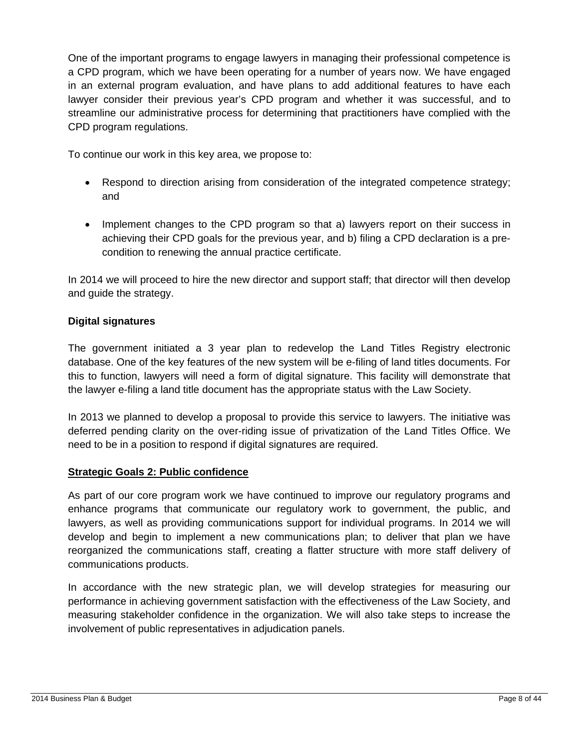One of the important programs to engage lawyers in managing their professional competence is a CPD program, which we have been operating for a number of years now. We have engaged in an external program evaluation, and have plans to add additional features to have each lawyer consider their previous year's CPD program and whether it was successful, and to streamline our administrative process for determining that practitioners have complied with the CPD program regulations.

To continue our work in this key area, we propose to:

- Respond to direction arising from consideration of the integrated competence strategy; and
- Implement changes to the CPD program so that a) lawyers report on their success in achieving their CPD goals for the previous year, and b) filing a CPD declaration is a precondition to renewing the annual practice certificate.

In 2014 we will proceed to hire the new director and support staff; that director will then develop and guide the strategy.

#### **Digital signatures**

The government initiated a 3 year plan to redevelop the Land Titles Registry electronic database. One of the key features of the new system will be e-filing of land titles documents. For this to function, lawyers will need a form of digital signature. This facility will demonstrate that the lawyer e-filing a land title document has the appropriate status with the Law Society.

In 2013 we planned to develop a proposal to provide this service to lawyers. The initiative was deferred pending clarity on the over-riding issue of privatization of the Land Titles Office. We need to be in a position to respond if digital signatures are required.

#### **Strategic Goals 2: Public confidence**

As part of our core program work we have continued to improve our regulatory programs and enhance programs that communicate our regulatory work to government, the public, and lawyers, as well as providing communications support for individual programs. In 2014 we will develop and begin to implement a new communications plan; to deliver that plan we have reorganized the communications staff, creating a flatter structure with more staff delivery of communications products.

In accordance with the new strategic plan, we will develop strategies for measuring our performance in achieving government satisfaction with the effectiveness of the Law Society, and measuring stakeholder confidence in the organization. We will also take steps to increase the involvement of public representatives in adjudication panels.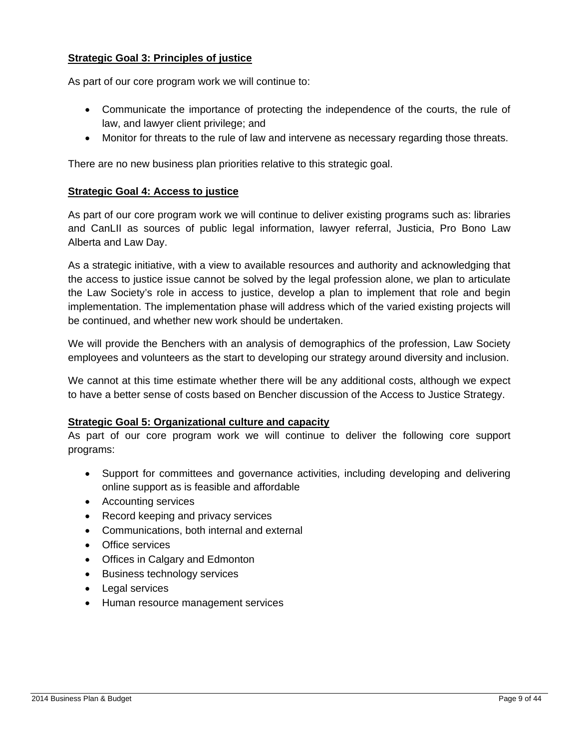#### **Strategic Goal 3: Principles of justice**

As part of our core program work we will continue to:

- Communicate the importance of protecting the independence of the courts, the rule of law, and lawyer client privilege; and
- Monitor for threats to the rule of law and intervene as necessary regarding those threats.

There are no new business plan priorities relative to this strategic goal.

#### **Strategic Goal 4: Access to justice**

As part of our core program work we will continue to deliver existing programs such as: libraries and CanLII as sources of public legal information, lawyer referral, Justicia, Pro Bono Law Alberta and Law Day.

As a strategic initiative, with a view to available resources and authority and acknowledging that the access to justice issue cannot be solved by the legal profession alone, we plan to articulate the Law Society's role in access to justice, develop a plan to implement that role and begin implementation. The implementation phase will address which of the varied existing projects will be continued, and whether new work should be undertaken.

We will provide the Benchers with an analysis of demographics of the profession, Law Society employees and volunteers as the start to developing our strategy around diversity and inclusion.

We cannot at this time estimate whether there will be any additional costs, although we expect to have a better sense of costs based on Bencher discussion of the Access to Justice Strategy.

#### **Strategic Goal 5: Organizational culture and capacity**

As part of our core program work we will continue to deliver the following core support programs:

- Support for committees and governance activities, including developing and delivering online support as is feasible and affordable
- Accounting services
- Record keeping and privacy services
- Communications, both internal and external
- **•** Office services
- Offices in Calgary and Edmonton
- Business technology services
- Legal services
- Human resource management services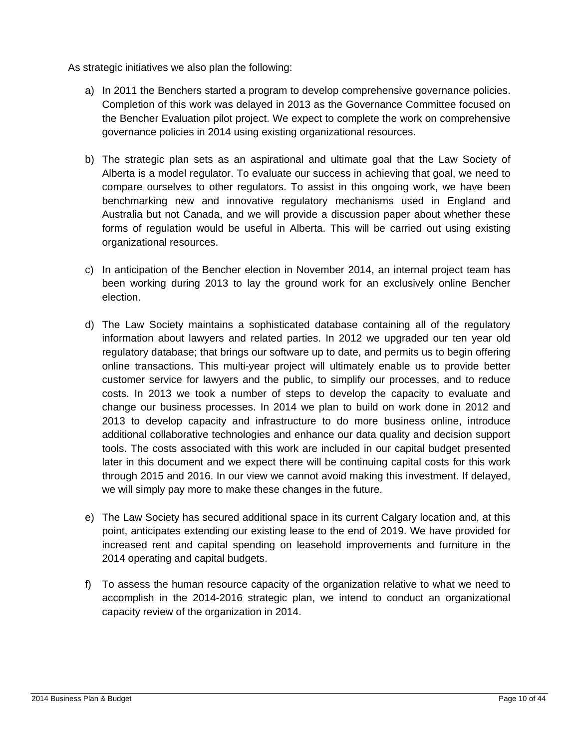As strategic initiatives we also plan the following:

- a) In 2011 the Benchers started a program to develop comprehensive governance policies. Completion of this work was delayed in 2013 as the Governance Committee focused on the Bencher Evaluation pilot project. We expect to complete the work on comprehensive governance policies in 2014 using existing organizational resources.
- b) The strategic plan sets as an aspirational and ultimate goal that the Law Society of Alberta is a model regulator. To evaluate our success in achieving that goal, we need to compare ourselves to other regulators. To assist in this ongoing work, we have been benchmarking new and innovative regulatory mechanisms used in England and Australia but not Canada, and we will provide a discussion paper about whether these forms of regulation would be useful in Alberta. This will be carried out using existing organizational resources.
- c) In anticipation of the Bencher election in November 2014, an internal project team has been working during 2013 to lay the ground work for an exclusively online Bencher election.
- d) The Law Society maintains a sophisticated database containing all of the regulatory information about lawyers and related parties. In 2012 we upgraded our ten year old regulatory database; that brings our software up to date, and permits us to begin offering online transactions. This multi-year project will ultimately enable us to provide better customer service for lawyers and the public, to simplify our processes, and to reduce costs. In 2013 we took a number of steps to develop the capacity to evaluate and change our business processes. In 2014 we plan to build on work done in 2012 and 2013 to develop capacity and infrastructure to do more business online, introduce additional collaborative technologies and enhance our data quality and decision support tools. The costs associated with this work are included in our capital budget presented later in this document and we expect there will be continuing capital costs for this work through 2015 and 2016. In our view we cannot avoid making this investment. If delayed, we will simply pay more to make these changes in the future.
- e) The Law Society has secured additional space in its current Calgary location and, at this point, anticipates extending our existing lease to the end of 2019. We have provided for increased rent and capital spending on leasehold improvements and furniture in the 2014 operating and capital budgets.
- f) To assess the human resource capacity of the organization relative to what we need to accomplish in the 2014-2016 strategic plan, we intend to conduct an organizational capacity review of the organization in 2014.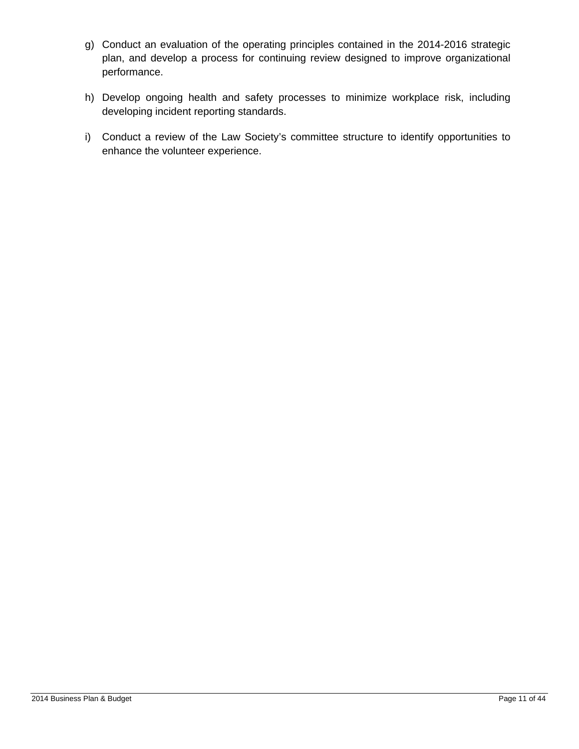- g) Conduct an evaluation of the operating principles contained in the 2014-2016 strategic plan, and develop a process for continuing review designed to improve organizational performance.
- h) Develop ongoing health and safety processes to minimize workplace risk, including developing incident reporting standards.
- i) Conduct a review of the Law Society's committee structure to identify opportunities to enhance the volunteer experience.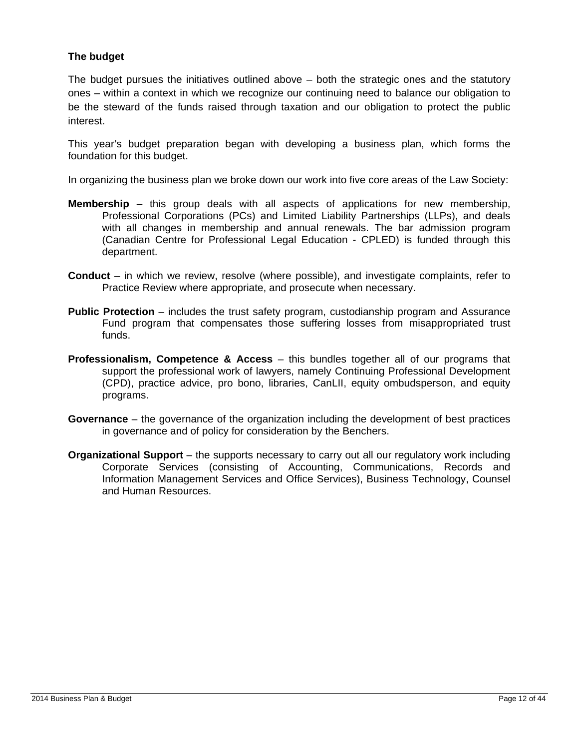#### **The budget**

The budget pursues the initiatives outlined above  $-$  both the strategic ones and the statutory ones – within a context in which we recognize our continuing need to balance our obligation to be the steward of the funds raised through taxation and our obligation to protect the public interest.

This year's budget preparation began with developing a business plan, which forms the foundation for this budget.

In organizing the business plan we broke down our work into five core areas of the Law Society:

- **Membership** this group deals with all aspects of applications for new membership, Professional Corporations (PCs) and Limited Liability Partnerships (LLPs), and deals with all changes in membership and annual renewals. The bar admission program (Canadian Centre for Professional Legal Education - CPLED) is funded through this department.
- **Conduct** in which we review, resolve (where possible), and investigate complaints, refer to Practice Review where appropriate, and prosecute when necessary.
- **Public Protection** includes the trust safety program, custodianship program and Assurance Fund program that compensates those suffering losses from misappropriated trust funds.
- **Professionalism, Competence & Access** this bundles together all of our programs that support the professional work of lawyers, namely Continuing Professional Development (CPD), practice advice, pro bono, libraries, CanLII, equity ombudsperson, and equity programs.
- **Governance** the governance of the organization including the development of best practices in governance and of policy for consideration by the Benchers.
- **Organizational Support** the supports necessary to carry out all our regulatory work including Corporate Services (consisting of Accounting, Communications, Records and Information Management Services and Office Services), Business Technology, Counsel and Human Resources.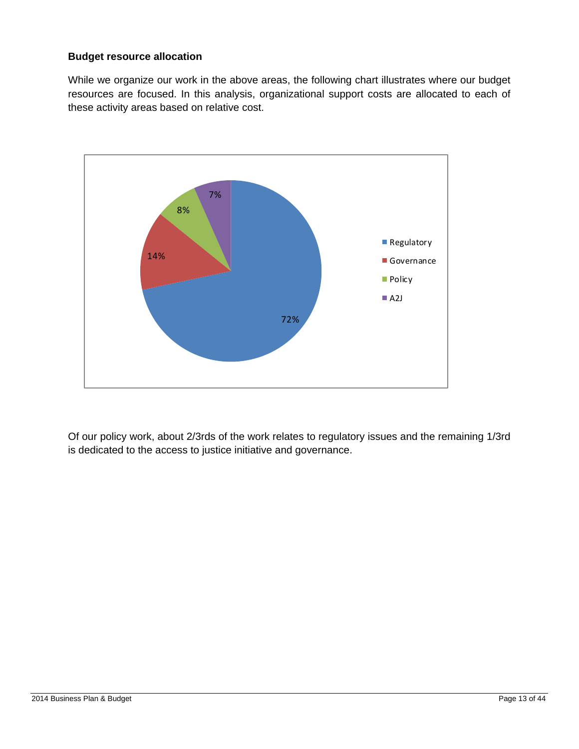#### **Budget resource allocation**

While we organize our work in the above areas, the following chart illustrates where our budget resources are focused. In this analysis, organizational support costs are allocated to each of these activity areas based on relative cost.



Of our policy work, about 2/3rds of the work relates to regulatory issues and the remaining 1/3rd is dedicated to the access to justice initiative and governance.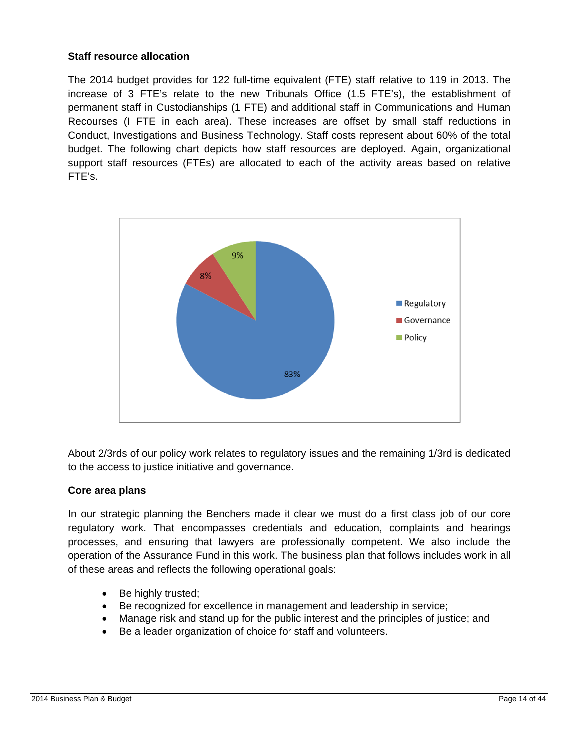#### **Staff resource allocation**

The 2014 budget provides for 122 full-time equivalent (FTE) staff relative to 119 in 2013. The increase of 3 FTE's relate to the new Tribunals Office (1.5 FTE's), the establishment of permanent staff in Custodianships (1 FTE) and additional staff in Communications and Human Recourses (I FTE in each area). These increases are offset by small staff reductions in Conduct, Investigations and Business Technology. Staff costs represent about 60% of the total budget. The following chart depicts how staff resources are deployed. Again, organizational support staff resources (FTEs) are allocated to each of the activity areas based on relative FTE's.



About 2/3rds of our policy work relates to regulatory issues and the remaining 1/3rd is dedicated to the access to justice initiative and governance.

#### **Core area plans**

In our strategic planning the Benchers made it clear we must do a first class job of our core regulatory work. That encompasses credentials and education, complaints and hearings processes, and ensuring that lawyers are professionally competent. We also include the operation of the Assurance Fund in this work. The business plan that follows includes work in all of these areas and reflects the following operational goals:

- Be highly trusted;
- Be recognized for excellence in management and leadership in service;
- Manage risk and stand up for the public interest and the principles of justice; and
- Be a leader organization of choice for staff and volunteers.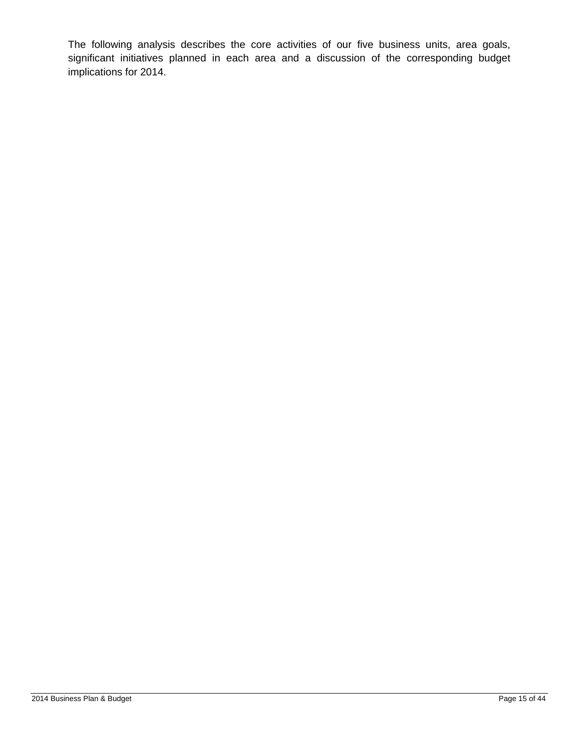The following analysis describes the core activities of our five business units, area goals, significant initiatives planned in each area and a discussion of the corresponding budget implications for 2014.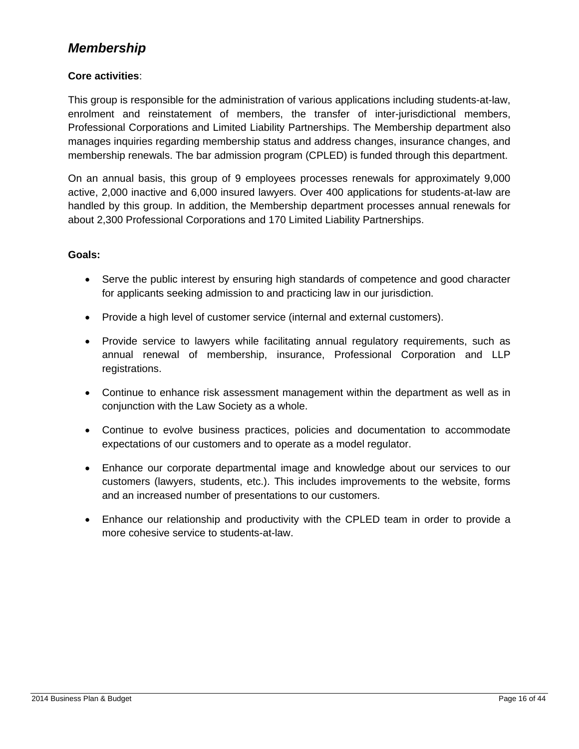### *Membership*

#### **Core activities**:

This group is responsible for the administration of various applications including students-at-law, enrolment and reinstatement of members, the transfer of inter-jurisdictional members, Professional Corporations and Limited Liability Partnerships. The Membership department also manages inquiries regarding membership status and address changes, insurance changes, and membership renewals. The bar admission program (CPLED) is funded through this department.

On an annual basis, this group of 9 employees processes renewals for approximately 9,000 active, 2,000 inactive and 6,000 insured lawyers. Over 400 applications for students-at-law are handled by this group. In addition, the Membership department processes annual renewals for about 2,300 Professional Corporations and 170 Limited Liability Partnerships.

#### **Goals:**

- Serve the public interest by ensuring high standards of competence and good character for applicants seeking admission to and practicing law in our jurisdiction.
- Provide a high level of customer service (internal and external customers).
- Provide service to lawyers while facilitating annual regulatory requirements, such as annual renewal of membership, insurance, Professional Corporation and LLP registrations.
- Continue to enhance risk assessment management within the department as well as in conjunction with the Law Society as a whole.
- Continue to evolve business practices, policies and documentation to accommodate expectations of our customers and to operate as a model regulator.
- Enhance our corporate departmental image and knowledge about our services to our customers (lawyers, students, etc.). This includes improvements to the website, forms and an increased number of presentations to our customers.
- Enhance our relationship and productivity with the CPLED team in order to provide a more cohesive service to students-at-law.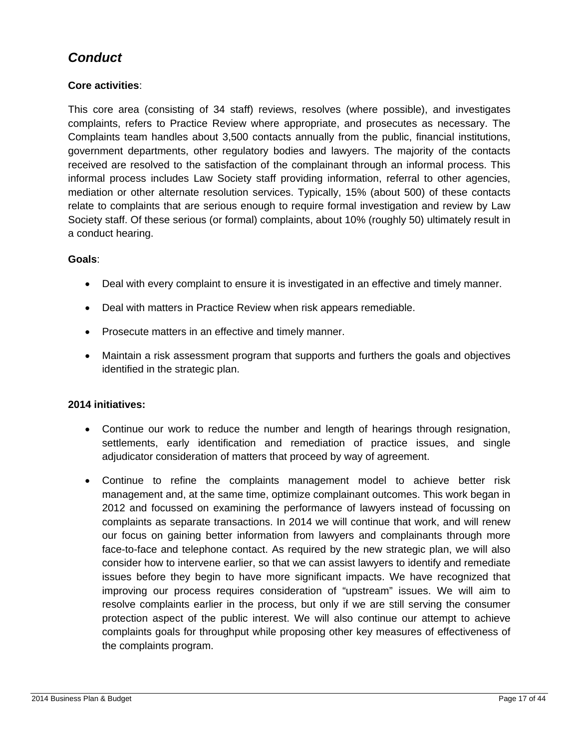## *Conduct*

#### **Core activities**:

This core area (consisting of 34 staff) reviews, resolves (where possible), and investigates complaints, refers to Practice Review where appropriate, and prosecutes as necessary. The Complaints team handles about 3,500 contacts annually from the public, financial institutions, government departments, other regulatory bodies and lawyers. The majority of the contacts received are resolved to the satisfaction of the complainant through an informal process. This informal process includes Law Society staff providing information, referral to other agencies, mediation or other alternate resolution services. Typically, 15% (about 500) of these contacts relate to complaints that are serious enough to require formal investigation and review by Law Society staff. Of these serious (or formal) complaints, about 10% (roughly 50) ultimately result in a conduct hearing.

#### **Goals**:

- Deal with every complaint to ensure it is investigated in an effective and timely manner.
- Deal with matters in Practice Review when risk appears remediable.
- Prosecute matters in an effective and timely manner.
- Maintain a risk assessment program that supports and furthers the goals and objectives identified in the strategic plan.

#### **2014 initiatives:**

- Continue our work to reduce the number and length of hearings through resignation, settlements, early identification and remediation of practice issues, and single adjudicator consideration of matters that proceed by way of agreement.
- Continue to refine the complaints management model to achieve better risk management and, at the same time, optimize complainant outcomes. This work began in 2012 and focussed on examining the performance of lawyers instead of focussing on complaints as separate transactions. In 2014 we will continue that work, and will renew our focus on gaining better information from lawyers and complainants through more face-to-face and telephone contact. As required by the new strategic plan, we will also consider how to intervene earlier, so that we can assist lawyers to identify and remediate issues before they begin to have more significant impacts. We have recognized that improving our process requires consideration of "upstream" issues. We will aim to resolve complaints earlier in the process, but only if we are still serving the consumer protection aspect of the public interest. We will also continue our attempt to achieve complaints goals for throughput while proposing other key measures of effectiveness of the complaints program.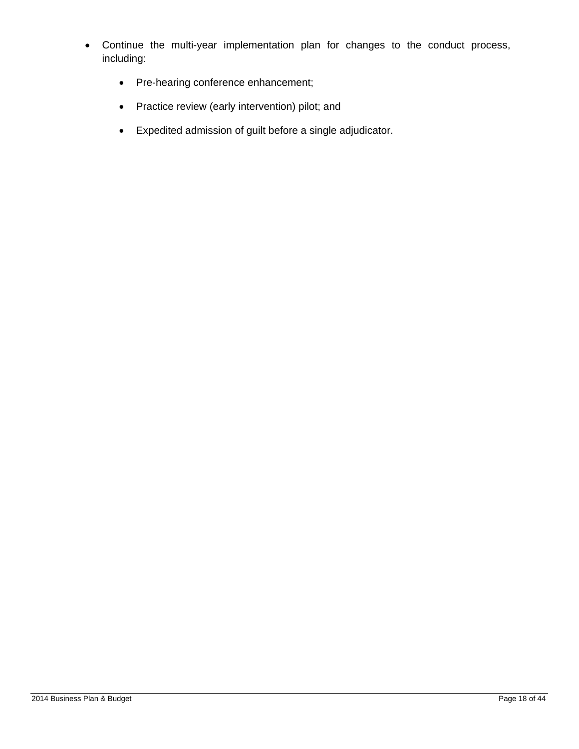- Continue the multi-year implementation plan for changes to the conduct process, including:
	- Pre-hearing conference enhancement;
	- Practice review (early intervention) pilot; and
	- Expedited admission of guilt before a single adjudicator.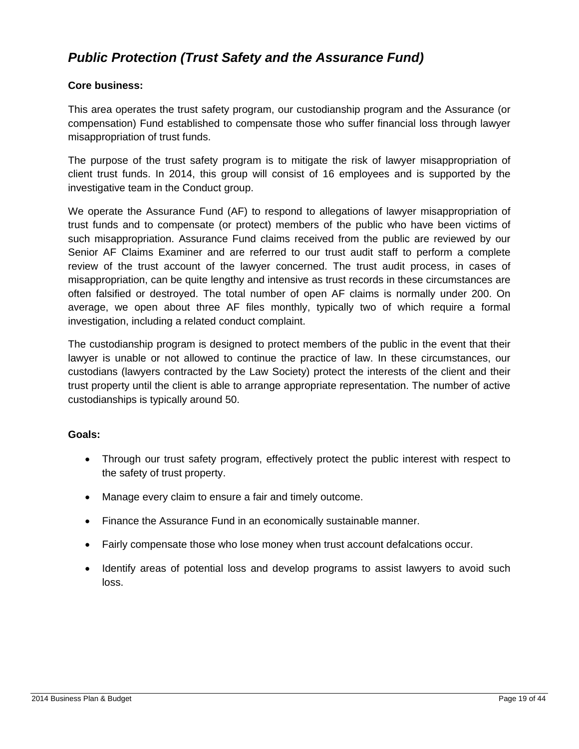## *Public Protection (Trust Safety and the Assurance Fund)*

#### **Core business:**

This area operates the trust safety program, our custodianship program and the Assurance (or compensation) Fund established to compensate those who suffer financial loss through lawyer misappropriation of trust funds.

The purpose of the trust safety program is to mitigate the risk of lawyer misappropriation of client trust funds. In 2014, this group will consist of 16 employees and is supported by the investigative team in the Conduct group.

We operate the Assurance Fund (AF) to respond to allegations of lawyer misappropriation of trust funds and to compensate (or protect) members of the public who have been victims of such misappropriation. Assurance Fund claims received from the public are reviewed by our Senior AF Claims Examiner and are referred to our trust audit staff to perform a complete review of the trust account of the lawyer concerned. The trust audit process, in cases of misappropriation, can be quite lengthy and intensive as trust records in these circumstances are often falsified or destroyed. The total number of open AF claims is normally under 200. On average, we open about three AF files monthly, typically two of which require a formal investigation, including a related conduct complaint.

The custodianship program is designed to protect members of the public in the event that their lawyer is unable or not allowed to continue the practice of law. In these circumstances, our custodians (lawyers contracted by the Law Society) protect the interests of the client and their trust property until the client is able to arrange appropriate representation. The number of active custodianships is typically around 50.

#### **Goals:**

- Through our trust safety program, effectively protect the public interest with respect to the safety of trust property.
- Manage every claim to ensure a fair and timely outcome.
- Finance the Assurance Fund in an economically sustainable manner.
- Fairly compensate those who lose money when trust account defalcations occur.
- Identify areas of potential loss and develop programs to assist lawyers to avoid such loss.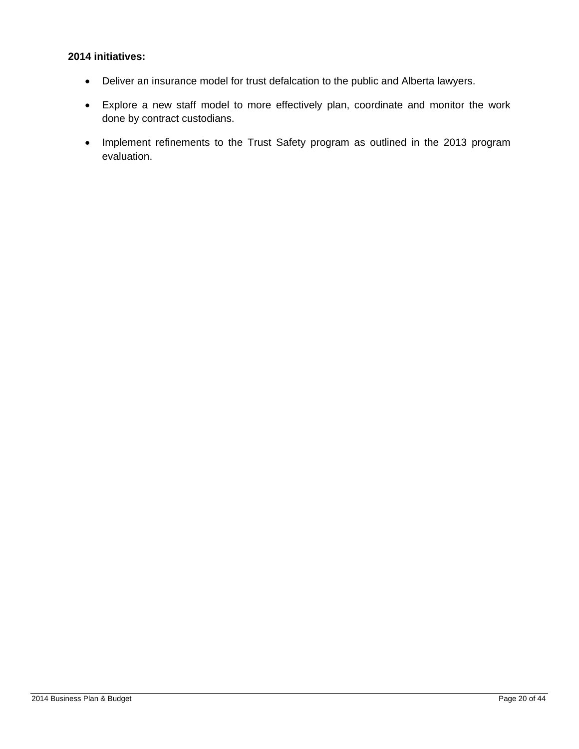#### **2014 initiatives:**

- Deliver an insurance model for trust defalcation to the public and Alberta lawyers.
- Explore a new staff model to more effectively plan, coordinate and monitor the work done by contract custodians.
- Implement refinements to the Trust Safety program as outlined in the 2013 program evaluation.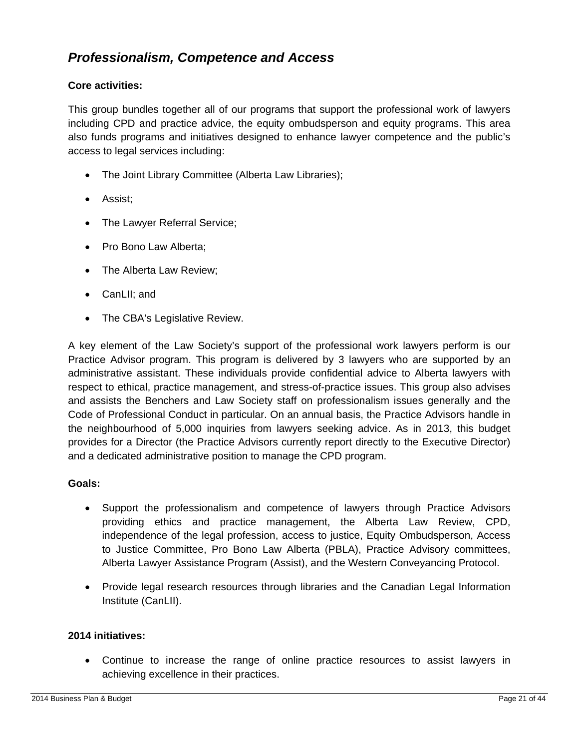### *Professionalism, Competence and Access*

#### **Core activities:**

This group bundles together all of our programs that support the professional work of lawyers including CPD and practice advice, the equity ombudsperson and equity programs. This area also funds programs and initiatives designed to enhance lawyer competence and the public's access to legal services including:

- The Joint Library Committee (Alberta Law Libraries);
- Assist;
- The Lawyer Referral Service;
- Pro Bono Law Alberta;
- The Alberta Law Review;
- CanLII; and
- The CBA's Legislative Review.

A key element of the Law Society's support of the professional work lawyers perform is our Practice Advisor program. This program is delivered by 3 lawyers who are supported by an administrative assistant. These individuals provide confidential advice to Alberta lawyers with respect to ethical, practice management, and stress-of-practice issues. This group also advises and assists the Benchers and Law Society staff on professionalism issues generally and the Code of Professional Conduct in particular. On an annual basis, the Practice Advisors handle in the neighbourhood of 5,000 inquiries from lawyers seeking advice. As in 2013, this budget provides for a Director (the Practice Advisors currently report directly to the Executive Director) and a dedicated administrative position to manage the CPD program.

#### **Goals:**

- Support the professionalism and competence of lawyers through Practice Advisors providing ethics and practice management, the Alberta Law Review, CPD, independence of the legal profession, access to justice, Equity Ombudsperson, Access to Justice Committee, Pro Bono Law Alberta (PBLA), Practice Advisory committees, Alberta Lawyer Assistance Program (Assist), and the Western Conveyancing Protocol.
- Provide legal research resources through libraries and the Canadian Legal Information Institute (CanLII).

#### **2014 initiatives:**

 Continue to increase the range of online practice resources to assist lawyers in achieving excellence in their practices.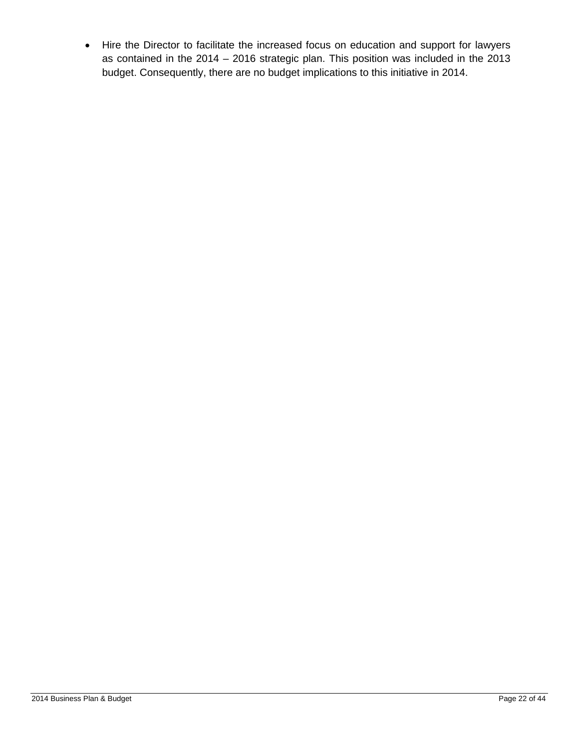Hire the Director to facilitate the increased focus on education and support for lawyers as contained in the 2014 – 2016 strategic plan. This position was included in the 2013 budget. Consequently, there are no budget implications to this initiative in 2014.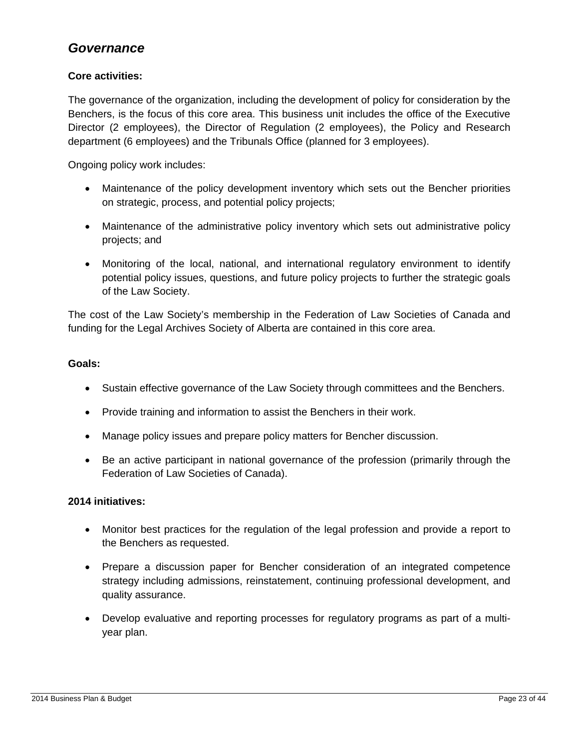### *Governance*

#### **Core activities:**

The governance of the organization, including the development of policy for consideration by the Benchers, is the focus of this core area. This business unit includes the office of the Executive Director (2 employees), the Director of Regulation (2 employees), the Policy and Research department (6 employees) and the Tribunals Office (planned for 3 employees).

Ongoing policy work includes:

- Maintenance of the policy development inventory which sets out the Bencher priorities on strategic, process, and potential policy projects;
- Maintenance of the administrative policy inventory which sets out administrative policy projects; and
- Monitoring of the local, national, and international regulatory environment to identify potential policy issues, questions, and future policy projects to further the strategic goals of the Law Society.

The cost of the Law Society's membership in the Federation of Law Societies of Canada and funding for the Legal Archives Society of Alberta are contained in this core area.

#### **Goals:**

- Sustain effective governance of the Law Society through committees and the Benchers.
- Provide training and information to assist the Benchers in their work.
- Manage policy issues and prepare policy matters for Bencher discussion.
- Be an active participant in national governance of the profession (primarily through the Federation of Law Societies of Canada).

#### **2014 initiatives:**

- Monitor best practices for the regulation of the legal profession and provide a report to the Benchers as requested.
- Prepare a discussion paper for Bencher consideration of an integrated competence strategy including admissions, reinstatement, continuing professional development, and quality assurance.
- Develop evaluative and reporting processes for regulatory programs as part of a multiyear plan.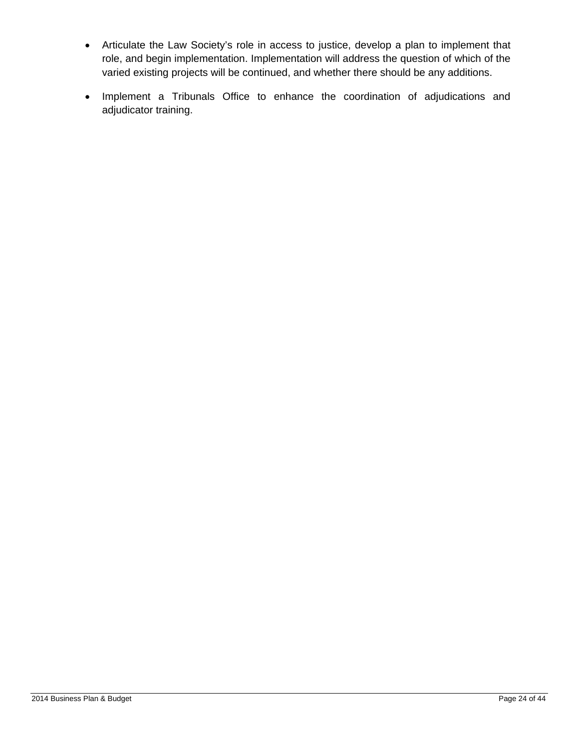- Articulate the Law Society's role in access to justice, develop a plan to implement that role, and begin implementation. Implementation will address the question of which of the varied existing projects will be continued, and whether there should be any additions.
- Implement a Tribunals Office to enhance the coordination of adjudications and adjudicator training.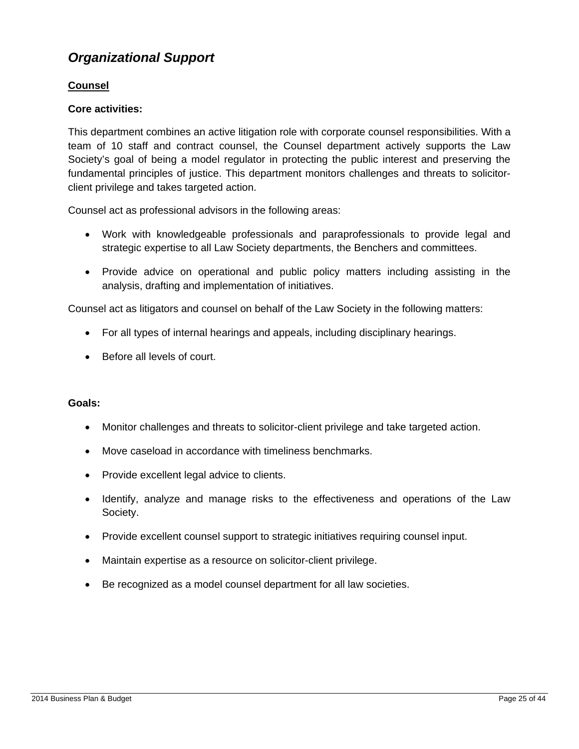## *Organizational Support*

#### **Counsel**

#### **Core activities:**

This department combines an active litigation role with corporate counsel responsibilities. With a team of 10 staff and contract counsel, the Counsel department actively supports the Law Society's goal of being a model regulator in protecting the public interest and preserving the fundamental principles of justice. This department monitors challenges and threats to solicitorclient privilege and takes targeted action.

Counsel act as professional advisors in the following areas:

- Work with knowledgeable professionals and paraprofessionals to provide legal and strategic expertise to all Law Society departments, the Benchers and committees.
- Provide advice on operational and public policy matters including assisting in the analysis, drafting and implementation of initiatives.

Counsel act as litigators and counsel on behalf of the Law Society in the following matters:

- For all types of internal hearings and appeals, including disciplinary hearings.
- Before all levels of court.

#### **Goals:**

- Monitor challenges and threats to solicitor-client privilege and take targeted action.
- Move caseload in accordance with timeliness benchmarks.
- Provide excellent legal advice to clients.
- Identify, analyze and manage risks to the effectiveness and operations of the Law Society.
- Provide excellent counsel support to strategic initiatives requiring counsel input.
- Maintain expertise as a resource on solicitor-client privilege.
- Be recognized as a model counsel department for all law societies.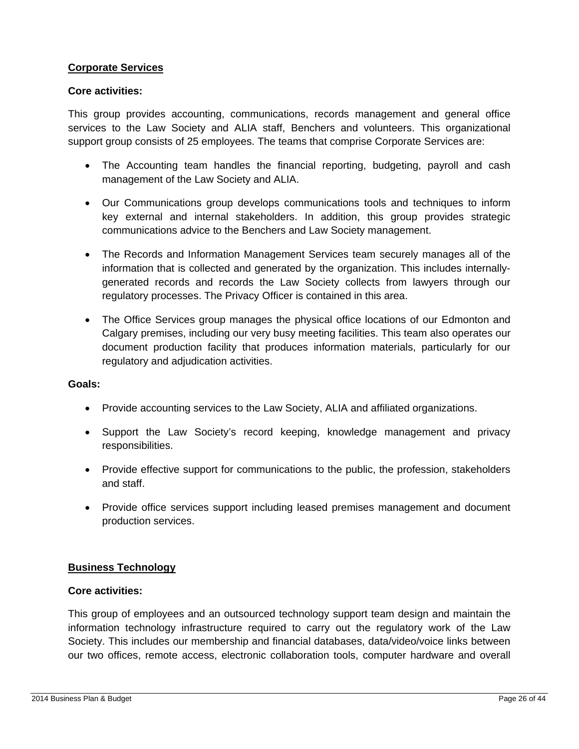#### **Corporate Services**

#### **Core activities:**

This group provides accounting, communications, records management and general office services to the Law Society and ALIA staff, Benchers and volunteers. This organizational support group consists of 25 employees. The teams that comprise Corporate Services are:

- The Accounting team handles the financial reporting, budgeting, payroll and cash management of the Law Society and ALIA.
- Our Communications group develops communications tools and techniques to inform key external and internal stakeholders. In addition, this group provides strategic communications advice to the Benchers and Law Society management.
- The Records and Information Management Services team securely manages all of the information that is collected and generated by the organization. This includes internallygenerated records and records the Law Society collects from lawyers through our regulatory processes. The Privacy Officer is contained in this area.
- The Office Services group manages the physical office locations of our Edmonton and Calgary premises, including our very busy meeting facilities. This team also operates our document production facility that produces information materials, particularly for our regulatory and adjudication activities.

#### **Goals:**

- Provide accounting services to the Law Society, ALIA and affiliated organizations.
- Support the Law Society's record keeping, knowledge management and privacy responsibilities.
- Provide effective support for communications to the public, the profession, stakeholders and staff.
- Provide office services support including leased premises management and document production services.

#### **Business Technology**

#### **Core activities:**

This group of employees and an outsourced technology support team design and maintain the information technology infrastructure required to carry out the regulatory work of the Law Society. This includes our membership and financial databases, data/video/voice links between our two offices, remote access, electronic collaboration tools, computer hardware and overall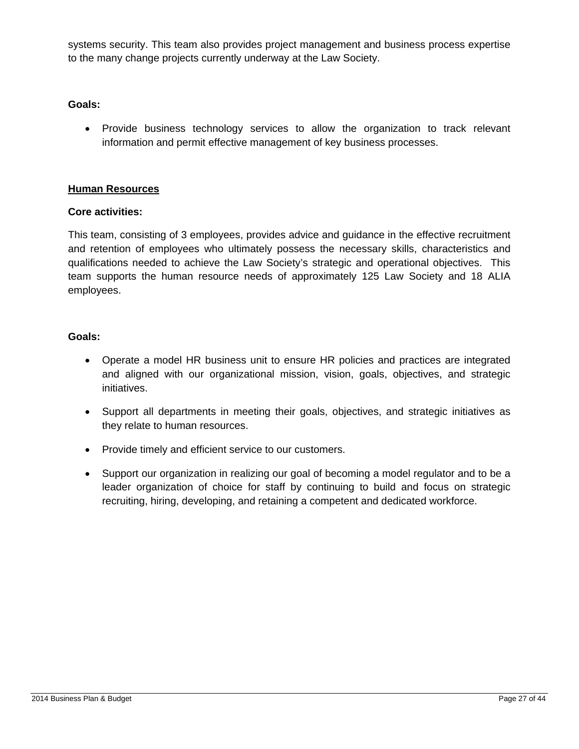systems security. This team also provides project management and business process expertise to the many change projects currently underway at the Law Society.

#### **Goals:**

• Provide business technology services to allow the organization to track relevant information and permit effective management of key business processes.

#### **Human Resources**

#### **Core activities:**

This team, consisting of 3 employees, provides advice and guidance in the effective recruitment and retention of employees who ultimately possess the necessary skills, characteristics and qualifications needed to achieve the Law Society's strategic and operational objectives. This team supports the human resource needs of approximately 125 Law Society and 18 ALIA employees.

#### **Goals:**

- Operate a model HR business unit to ensure HR policies and practices are integrated and aligned with our organizational mission, vision, goals, objectives, and strategic initiatives.
- Support all departments in meeting their goals, objectives, and strategic initiatives as they relate to human resources.
- Provide timely and efficient service to our customers.
- Support our organization in realizing our goal of becoming a model regulator and to be a leader organization of choice for staff by continuing to build and focus on strategic recruiting, hiring, developing, and retaining a competent and dedicated workforce.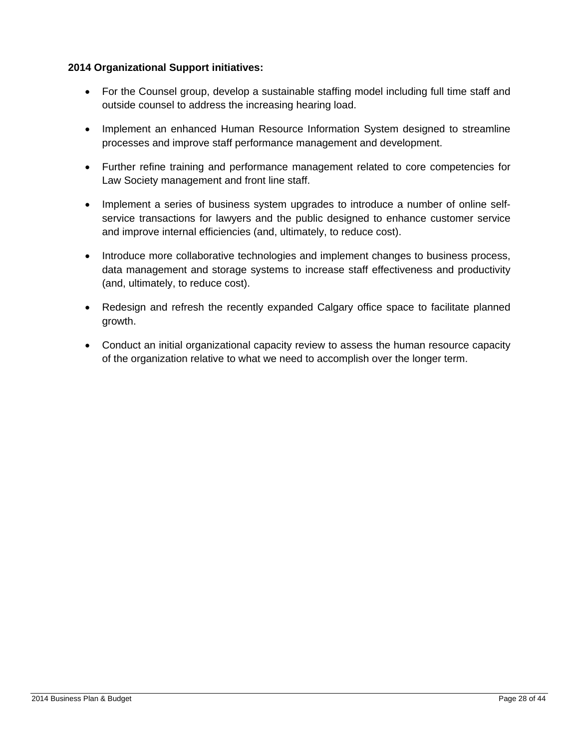#### **2014 Organizational Support initiatives:**

- For the Counsel group, develop a sustainable staffing model including full time staff and outside counsel to address the increasing hearing load.
- Implement an enhanced Human Resource Information System designed to streamline processes and improve staff performance management and development.
- Further refine training and performance management related to core competencies for Law Society management and front line staff.
- Implement a series of business system upgrades to introduce a number of online selfservice transactions for lawyers and the public designed to enhance customer service and improve internal efficiencies (and, ultimately, to reduce cost).
- Introduce more collaborative technologies and implement changes to business process, data management and storage systems to increase staff effectiveness and productivity (and, ultimately, to reduce cost).
- Redesign and refresh the recently expanded Calgary office space to facilitate planned growth.
- Conduct an initial organizational capacity review to assess the human resource capacity of the organization relative to what we need to accomplish over the longer term.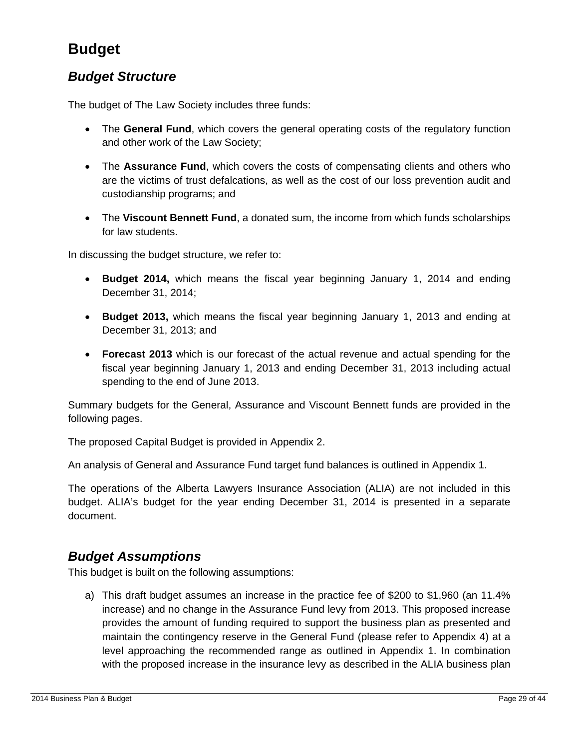# **Budget**

### *Budget Structure*

The budget of The Law Society includes three funds:

- The **General Fund**, which covers the general operating costs of the regulatory function and other work of the Law Society;
- The **Assurance Fund**, which covers the costs of compensating clients and others who are the victims of trust defalcations, as well as the cost of our loss prevention audit and custodianship programs; and
- The **Viscount Bennett Fund**, a donated sum, the income from which funds scholarships for law students.

In discussing the budget structure, we refer to:

- **Budget 2014,** which means the fiscal year beginning January 1, 2014 and ending December 31, 2014;
- **Budget 2013,** which means the fiscal year beginning January 1, 2013 and ending at December 31, 2013; and
- **Forecast 2013** which is our forecast of the actual revenue and actual spending for the fiscal year beginning January 1, 2013 and ending December 31, 2013 including actual spending to the end of June 2013.

Summary budgets for the General, Assurance and Viscount Bennett funds are provided in the following pages.

The proposed Capital Budget is provided in Appendix 2.

An analysis of General and Assurance Fund target fund balances is outlined in Appendix 1.

The operations of the Alberta Lawyers Insurance Association (ALIA) are not included in this budget. ALIA's budget for the year ending December 31, 2014 is presented in a separate document.

#### *Budget Assumptions*

This budget is built on the following assumptions:

a) This draft budget assumes an increase in the practice fee of \$200 to \$1,960 (an 11.4% increase) and no change in the Assurance Fund levy from 2013. This proposed increase provides the amount of funding required to support the business plan as presented and maintain the contingency reserve in the General Fund (please refer to Appendix 4) at a level approaching the recommended range as outlined in Appendix 1. In combination with the proposed increase in the insurance levy as described in the ALIA business plan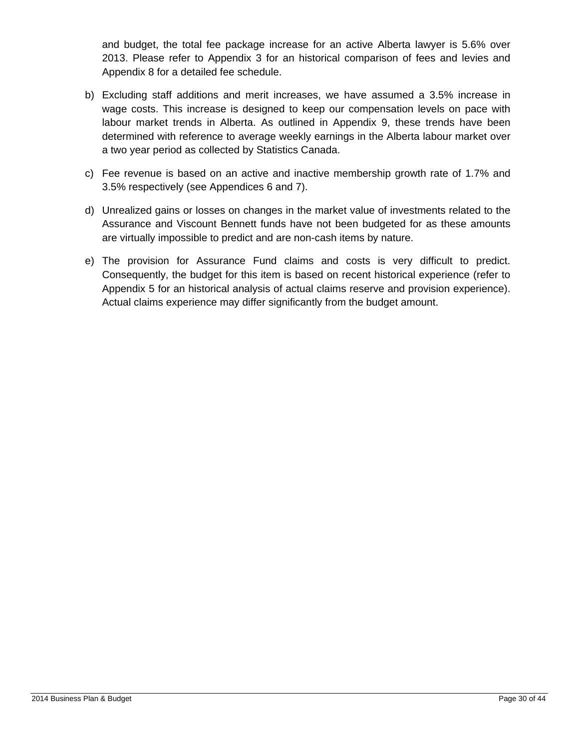and budget, the total fee package increase for an active Alberta lawyer is 5.6% over 2013. Please refer to Appendix 3 for an historical comparison of fees and levies and Appendix 8 for a detailed fee schedule.

- b) Excluding staff additions and merit increases, we have assumed a 3.5% increase in wage costs. This increase is designed to keep our compensation levels on pace with labour market trends in Alberta. As outlined in Appendix 9, these trends have been determined with reference to average weekly earnings in the Alberta labour market over a two year period as collected by Statistics Canada.
- c) Fee revenue is based on an active and inactive membership growth rate of 1.7% and 3.5% respectively (see Appendices 6 and 7).
- d) Unrealized gains or losses on changes in the market value of investments related to the Assurance and Viscount Bennett funds have not been budgeted for as these amounts are virtually impossible to predict and are non-cash items by nature.
- e) The provision for Assurance Fund claims and costs is very difficult to predict. Consequently, the budget for this item is based on recent historical experience (refer to Appendix 5 for an historical analysis of actual claims reserve and provision experience). Actual claims experience may differ significantly from the budget amount.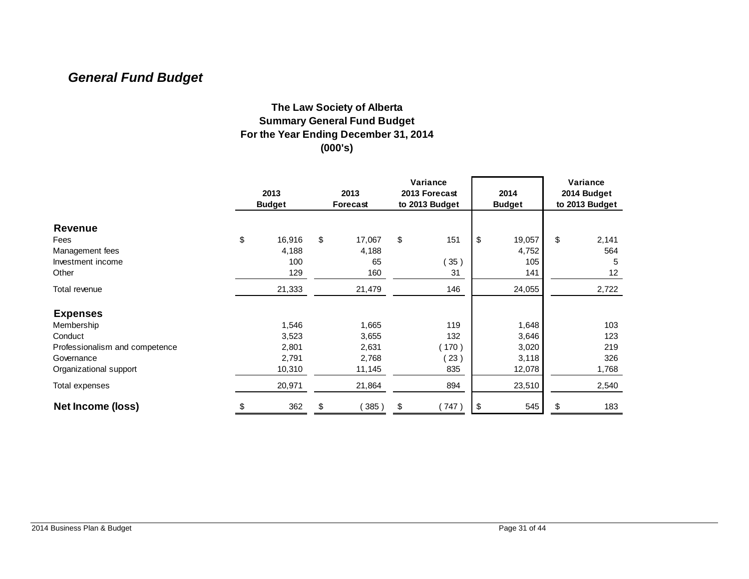# *General Fund Budget*

#### **The Law Society of Alberta Summary General Fund Budget For the Year Ending December 31, 2014 (000's)**

|                                | 2013<br><b>Budget</b> |        | 2013<br>Forecast |        |    |      | Variance<br>2013 Forecast<br>to 2013 Budget |        | 2014<br><b>Budget</b> | Variance<br>2014 Budget<br>to 2013 Budget |  |  |
|--------------------------------|-----------------------|--------|------------------|--------|----|------|---------------------------------------------|--------|-----------------------|-------------------------------------------|--|--|
| <b>Revenue</b>                 |                       |        |                  |        |    |      |                                             |        |                       |                                           |  |  |
| Fees                           | \$                    | 16,916 | \$               | 17,067 | \$ | 151  | \$                                          | 19,057 | \$                    | 2,141                                     |  |  |
| Management fees                |                       | 4,188  |                  | 4,188  |    |      |                                             | 4,752  |                       | 564                                       |  |  |
| Investment income              |                       | 100    |                  | 65     |    | 35)  |                                             | 105    |                       | 5                                         |  |  |
| Other                          |                       | 129    |                  | 160    |    | 31   |                                             | 141    |                       | 12                                        |  |  |
| Total revenue                  |                       | 21,333 |                  | 21,479 |    | 146  |                                             | 24,055 |                       | 2,722                                     |  |  |
| <b>Expenses</b>                |                       |        |                  |        |    |      |                                             |        |                       |                                           |  |  |
| Membership                     |                       | 1,546  |                  | 1,665  |    | 119  |                                             | 1,648  |                       | 103                                       |  |  |
| Conduct                        |                       | 3,523  |                  | 3,655  |    | 132  |                                             | 3,646  |                       | 123                                       |  |  |
| Professionalism and competence |                       | 2,801  |                  | 2,631  |    | 170) |                                             | 3,020  |                       | 219                                       |  |  |
| Governance                     |                       | 2,791  |                  | 2,768  |    | 23)  |                                             | 3,118  |                       | 326                                       |  |  |
| Organizational support         |                       | 10,310 |                  | 11,145 |    | 835  |                                             | 12,078 |                       | 1,768                                     |  |  |
| Total expenses                 |                       | 20,971 |                  | 21,864 |    | 894  |                                             | 23,510 |                       | 2,540                                     |  |  |
| Net Income (loss)              | \$                    | 362    | \$               | 385)   | \$ | 747) | \$                                          | 545    | \$                    | 183                                       |  |  |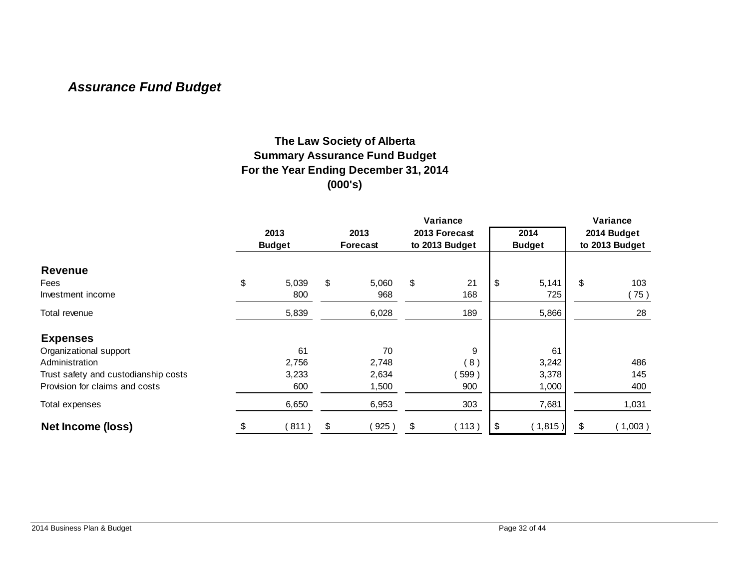# *Assurance Fund Budget*

#### **The Law Society of Alberta Summary Assurance Fund Budget For the Year Ending December 31, 2014 (000's)**

|                                      | Variance      |    |          |    |                |    |               |                | Variance |  |
|--------------------------------------|---------------|----|----------|----|----------------|----|---------------|----------------|----------|--|
|                                      | 2013          |    | 2013     |    | 2013 Forecast  |    | 2014          | 2014 Budget    |          |  |
|                                      | <b>Budget</b> |    | Forecast |    | to 2013 Budget |    | <b>Budget</b> | to 2013 Budget |          |  |
| <b>Revenue</b>                       |               |    |          |    |                |    |               |                |          |  |
| Fees                                 | \$<br>5,039   | \$ | 5,060    | \$ | 21             | \$ | 5,141         | \$             | 103      |  |
| Investment income                    | 800           |    | 968      |    | 168            |    | 725           |                | (75)     |  |
| Total revenue                        | 5,839         |    | 6,028    |    | 189            |    | 5,866         |                | 28       |  |
| <b>Expenses</b>                      |               |    |          |    |                |    |               |                |          |  |
| Organizational support               | 61            |    | 70       |    | 9              |    | 61            |                |          |  |
| Administration                       | 2,756         |    | 2,748    |    | (8)            |    | 3,242         |                | 486      |  |
| Trust safety and custodianship costs | 3,233         |    | 2,634    |    | 599            |    | 3,378         |                | 145      |  |
| Provision for claims and costs       | 600           |    | 1,500    |    | 900            |    | 1,000         |                | 400      |  |
| Total expenses                       | 6,650         |    | 6,953    |    | 303            |    | 7,681         |                | 1,031    |  |
| <b>Net Income (loss)</b>             | \$<br>(811)   | \$ | 925)     | \$ | (113)          | \$ | (1,815)       | \$             | (1,003)  |  |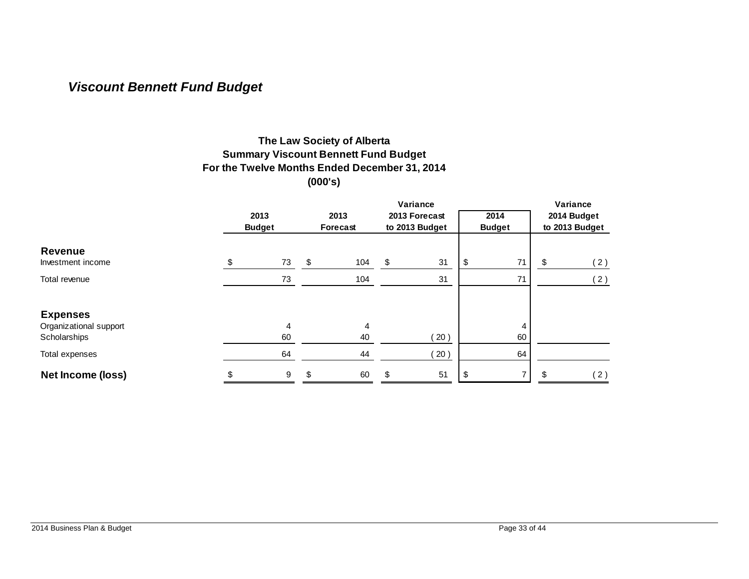# *Viscount Bennett Fund Budget*

#### **The Law Society of Alberta Summary Viscount Bennett Fund Budget For the Twelve Months Ended December 31, 2014 (000's)**

|                        |      |               |     |          |                | Variance      |    |               |                |     |  |  |  |
|------------------------|------|---------------|-----|----------|----------------|---------------|----|---------------|----------------|-----|--|--|--|
|                        | 2013 |               |     | 2013     |                | 2013 Forecast |    | 2014          | 2014 Budget    |     |  |  |  |
|                        |      | <b>Budget</b> |     | Forecast | to 2013 Budget |               |    | <b>Budget</b> | to 2013 Budget |     |  |  |  |
| <b>Revenue</b>         |      |               |     |          |                |               |    |               |                |     |  |  |  |
| Investment income      | \$   | 73            | \$  | 104      | \$             | 31            | \$ | 71            | \$             | (2) |  |  |  |
| Total revenue          |      | 73            |     | 104      |                | 31            |    | 71            |                | (2) |  |  |  |
| <b>Expenses</b>        |      |               |     |          |                |               |    |               |                |     |  |  |  |
| Organizational support |      | 4             |     | 4        |                |               |    |               |                |     |  |  |  |
| Scholarships           |      | 60            |     | 40       |                | 20)           |    | 60            |                |     |  |  |  |
| Total expenses         |      | 64            |     | 44       |                | 20)           |    | 64            |                |     |  |  |  |
| Net Income (loss)      | \$   | 9             | \$. | 60       | \$.            | 51            | \$ |               |                | (2) |  |  |  |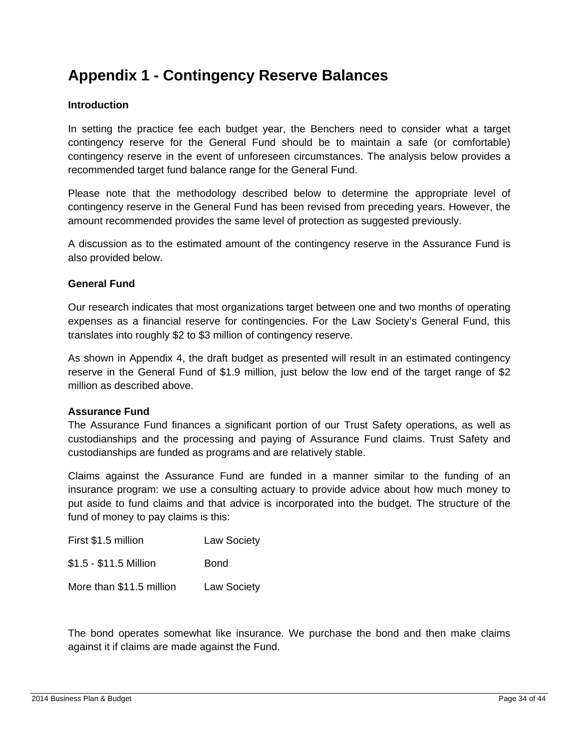# **Appendix 1 - Contingency Reserve Balances**

#### **Introduction**

In setting the practice fee each budget year, the Benchers need to consider what a target contingency reserve for the General Fund should be to maintain a safe (or comfortable) contingency reserve in the event of unforeseen circumstances. The analysis below provides a recommended target fund balance range for the General Fund.

Please note that the methodology described below to determine the appropriate level of contingency reserve in the General Fund has been revised from preceding years. However, the amount recommended provides the same level of protection as suggested previously.

A discussion as to the estimated amount of the contingency reserve in the Assurance Fund is also provided below.

#### **General Fund**

Our research indicates that most organizations target between one and two months of operating expenses as a financial reserve for contingencies. For the Law Society's General Fund, this translates into roughly \$2 to \$3 million of contingency reserve.

As shown in Appendix 4, the draft budget as presented will result in an estimated contingency reserve in the General Fund of \$1.9 million, just below the low end of the target range of \$2 million as described above.

#### **Assurance Fund**

The Assurance Fund finances a significant portion of our Trust Safety operations, as well as custodianships and the processing and paying of Assurance Fund claims. Trust Safety and custodianships are funded as programs and are relatively stable.

Claims against the Assurance Fund are funded in a manner similar to the funding of an insurance program: we use a consulting actuary to provide advice about how much money to put aside to fund claims and that advice is incorporated into the budget. The structure of the fund of money to pay claims is this:

| First \$1.5 million      | <b>Law Society</b> |
|--------------------------|--------------------|
| \$1.5 - \$11.5 Million   | <b>Bond</b>        |
| More than \$11.5 million | <b>Law Society</b> |

The bond operates somewhat like insurance. We purchase the bond and then make claims against it if claims are made against the Fund.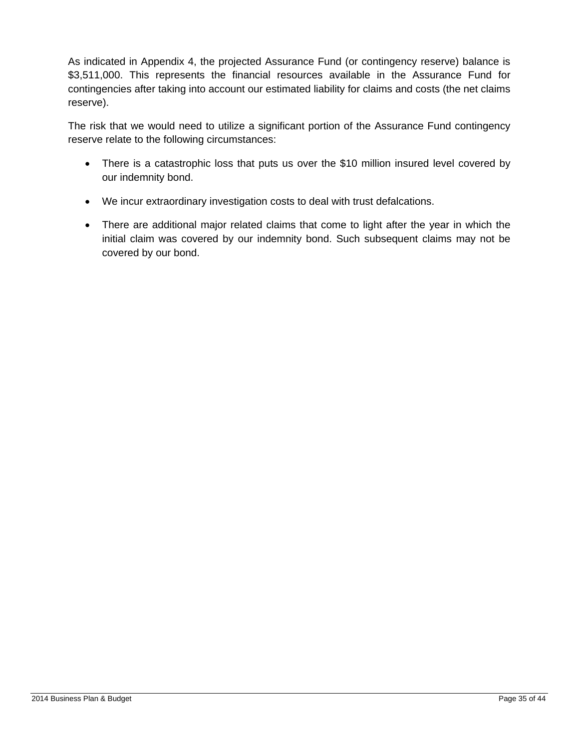As indicated in Appendix 4, the projected Assurance Fund (or contingency reserve) balance is \$3,511,000. This represents the financial resources available in the Assurance Fund for contingencies after taking into account our estimated liability for claims and costs (the net claims reserve).

The risk that we would need to utilize a significant portion of the Assurance Fund contingency reserve relate to the following circumstances:

- There is a catastrophic loss that puts us over the \$10 million insured level covered by our indemnity bond.
- We incur extraordinary investigation costs to deal with trust defalcations.
- There are additional major related claims that come to light after the year in which the initial claim was covered by our indemnity bond. Such subsequent claims may not be covered by our bond.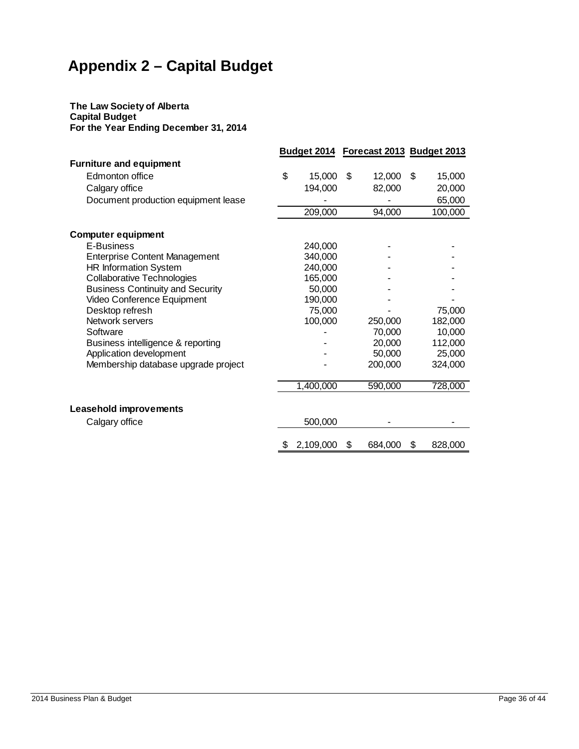# **Appendix 2 – Capital Budget**

#### **The Law Society of Alberta Capital Budget For the Year Ending December 31, 2014**

|                                         |                 | Budget 2014 Forecast 2013 Budget 2013 |               |
|-----------------------------------------|-----------------|---------------------------------------|---------------|
| <b>Furniture and equipment</b>          |                 |                                       |               |
| Edmonton office                         | \$<br>15,000    | \$<br>12,000                          | \$<br>15,000  |
| Calgary office                          | 194,000         | 82,000                                | 20,000        |
| Document production equipment lease     |                 |                                       | 65,000        |
|                                         | 209,000         | 94,000                                | 100,000       |
|                                         |                 |                                       |               |
| <b>Computer equipment</b>               |                 |                                       |               |
| E-Business                              | 240,000         |                                       |               |
| <b>Enterprise Content Management</b>    | 340,000         |                                       |               |
| <b>HR Information System</b>            | 240,000         |                                       |               |
| <b>Collaborative Technologies</b>       | 165,000         |                                       |               |
| <b>Business Continuity and Security</b> | 50,000          |                                       |               |
| Video Conference Equipment              | 190,000         |                                       |               |
| Desktop refresh                         | 75,000          |                                       | 75,000        |
| Network servers                         | 100,000         | 250,000                               | 182,000       |
| Software                                |                 | 70,000                                | 10,000        |
| Business intelligence & reporting       |                 | 20,000                                | 112,000       |
| Application development                 |                 | 50,000                                | 25,000        |
| Membership database upgrade project     |                 | 200,000                               | 324,000       |
|                                         | 1,400,000       | 590,000                               | 728,000       |
|                                         |                 |                                       |               |
| Leasehold improvements                  |                 |                                       |               |
| Calgary office                          | 500,000         |                                       |               |
|                                         | \$<br>2,109,000 | \$<br>684,000                         | \$<br>828,000 |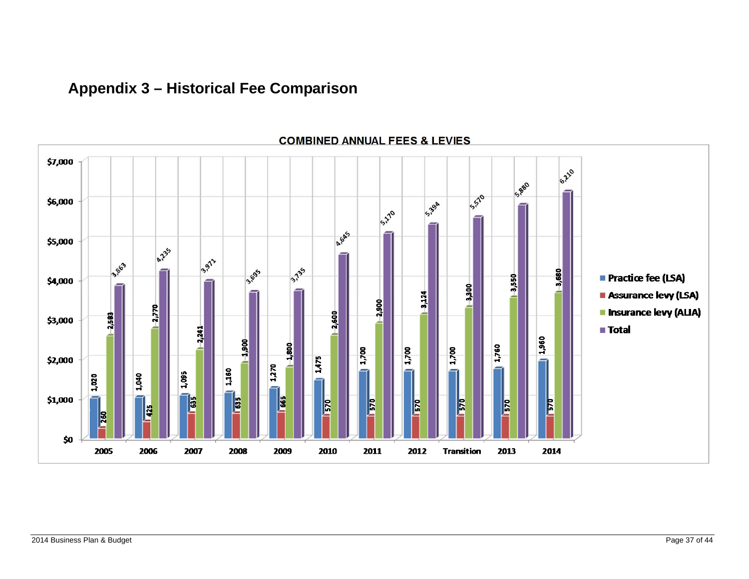# **Appendix 3 – Historical Fee Comparison**



#### **COMBINED ANNUAL FEES & LEVIES**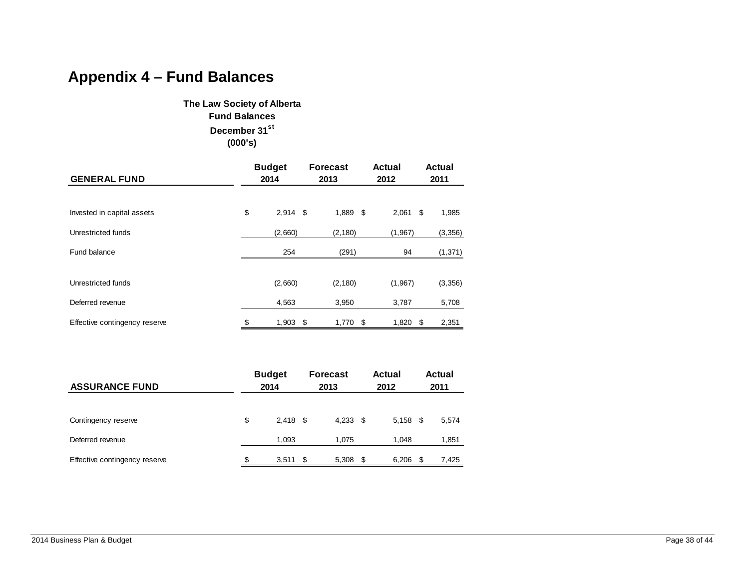# **Appendix 4 – Fund Balances**

**The Law Society of Alberta Fund Balances December 31st (000's)**

| <b>GENERAL FUND</b>           | <b>Budget</b><br>2014 |     | <b>Forecast</b><br>2013 |      | <b>Actual</b><br>2012 |      | <b>Actual</b><br>2011 |
|-------------------------------|-----------------------|-----|-------------------------|------|-----------------------|------|-----------------------|
|                               |                       |     |                         |      |                       |      |                       |
| Invested in capital assets    | \$<br>$2,914$ \$      |     | 1,889 \$                |      | 2,061                 | \$   | 1,985                 |
| Unrestricted funds            | (2,660)               |     | (2, 180)                |      | (1, 967)              |      | (3,356)               |
| Fund balance                  | 254                   |     | (291)                   |      | 94                    |      | (1, 371)              |
|                               |                       |     |                         |      |                       |      |                       |
| Unrestricted funds            | (2,660)               |     | (2, 180)                |      | (1,967)               |      | (3,356)               |
| Deferred revenue              | 4,563                 |     | 3,950                   |      | 3,787                 |      | 5,708                 |
| Effective contingency reserve | \$<br>1,903           | -\$ | 1,770                   | - \$ | 1,820                 | - \$ | 2,351                 |

| <b>ASSURANCE FUND</b>         | <b>Budget</b><br>2014 |            |  | <b>Forecast</b><br>2013 |      | Actual<br>2012 |      | <b>Actual</b><br>2011 |
|-------------------------------|-----------------------|------------|--|-------------------------|------|----------------|------|-----------------------|
|                               |                       |            |  |                         |      |                |      |                       |
| Contingency reserve           | \$                    | $2.418$ \$ |  | $4,233$ \$              |      | $5,158$ \$     |      | 5,574                 |
| Deferred revenue              |                       | 1,093      |  | 1,075                   |      | 1,048          |      | 1,851                 |
| Effective contingency reserve | \$                    | $3,511$ \$ |  | 5,308                   | - \$ | 6,206          | - \$ | 7,425                 |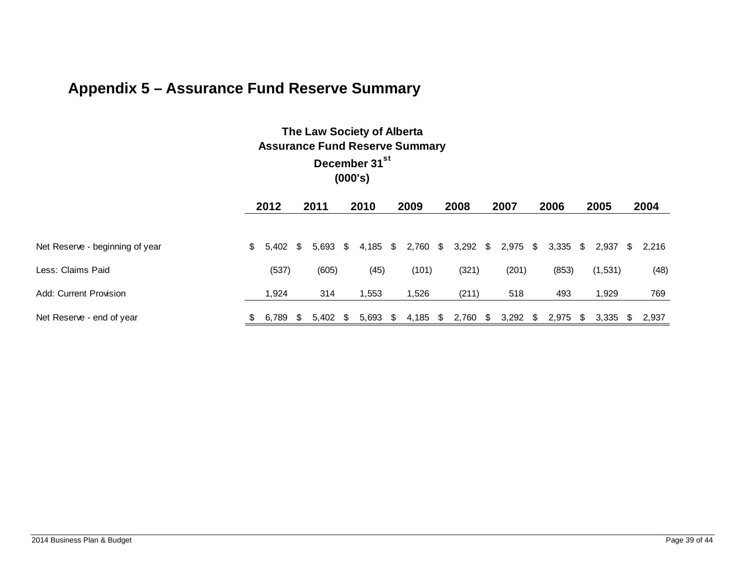# **Appendix 5 – Assurance Fund Reserve Summary**

| The Law Society of Alberta            |
|---------------------------------------|
| <b>Assurance Fund Reserve Summary</b> |
| December 31 <sup>st</sup>             |
| (000's)                               |

|                                 |   | 2012        |    | 2011       | 2010  |    | 2009     | 2008                                |     | 2007  |     | 2006       |      | 2005    | 2004           |
|---------------------------------|---|-------------|----|------------|-------|----|----------|-------------------------------------|-----|-------|-----|------------|------|---------|----------------|
|                                 |   |             |    |            |       |    |          |                                     |     |       |     |            |      |         |                |
| Net Reserve - beginning of year |   | $$5,402$ \$ |    | $5.693$ \$ |       |    |          | 4,185 \$ 2,760 \$ 3,292 \$ 2,975 \$ |     |       |     | $3,335$ \$ |      |         | 2.937 \$ 2.216 |
| Less: Claims Paid               |   | (537)       |    | (605)      | (45)  |    | (101)    | (321)                               |     | (201) |     | (853)      |      | (1,531) | (48)           |
| Add: Current Provision          |   | 1.924       |    | 314        | .553  |    | 1,526    | (211)                               |     | 518   |     | 493        |      | 1,929   | 769            |
| Net Reserve - end of year       | S | 6.789       | S. | $5,402$ \$ | 5,693 | S. | 4,185 \$ | 2,760                               | - S | 3,292 | SS. | 2,975      | - \$ | 3,335   | 2.937          |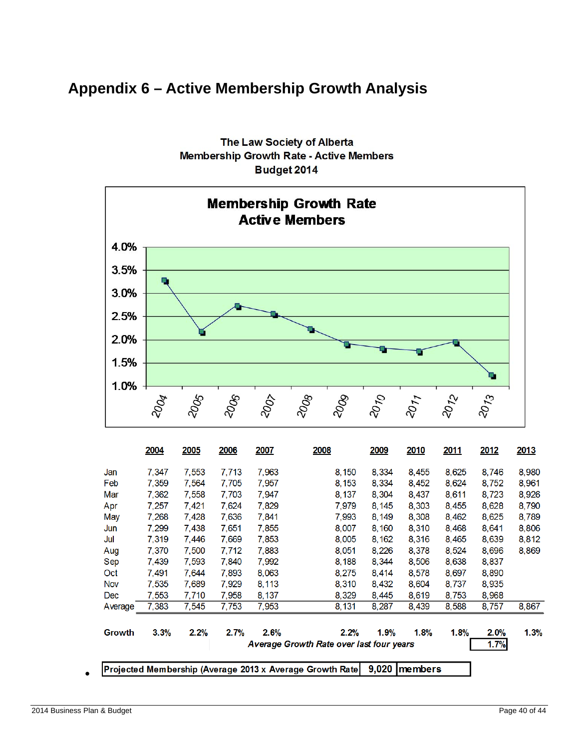# **Appendix 6 – Active Membership Growth Analysis**



**The Law Society of Alberta Membership Growth Rate - Active Members** Budget 2014

 $\bullet$ 

Projected Membership (Average 2013 x Average Growth Rate 9,020 members

2014 Business Plan & Budget **Page 40** of 44 and 2014 Business Page 40 of 44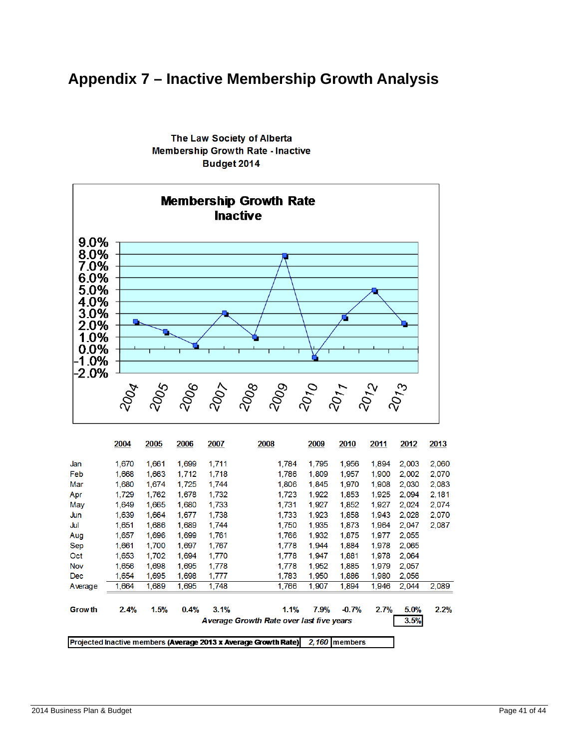# **Appendix 7 – Inactive Membership Growth Analysis**



The Law Society of Alberta **Membership Growth Rate - Inactive** Budget 2014

|               | 2004  | 2005  | 2006  | 2007  | 2008                                                            | 2009  | 2010          | 2011  | 2012  | 2013  |
|---------------|-------|-------|-------|-------|-----------------------------------------------------------------|-------|---------------|-------|-------|-------|
| Jan           | 1,670 | 1,661 | 1,699 | 1,711 | 1,784                                                           | 1,795 | 1,956         | 1,894 | 2,003 | 2,060 |
| Feb           | 1,668 | 1,663 | 1,712 | 1,718 | 1,786                                                           | 1,809 | 1,957         | 1,900 | 2,002 | 2,070 |
| Mar           | 1,680 | 1,674 | 1,725 | 1,744 | 1,806                                                           | 1,845 | 1,970         | 1,908 | 2,030 | 2,083 |
| Apr           | 1,729 | 1,762 | 1,678 | 1,732 | 1,723                                                           | 1,922 | 1,853         | 1,925 | 2,094 | 2,181 |
| May           | 1.649 | 1,665 | 1,680 | 1,733 | 1.731                                                           | 1,927 | 1,852         | 1,927 | 2.024 | 2,074 |
| Jun           | 1,639 | 1,664 | 1,677 | 1,738 | 1,733                                                           | 1,923 | 1,858         | 1,943 | 2.028 | 2,070 |
| Jul           | 1,651 | 1,686 | 1,689 | 1,744 | 1,750                                                           | 1,935 | 1,873         | 1,964 | 2,047 | 2,087 |
| Aug           | 1,657 | 1,696 | 1,699 | 1,761 | 1,766                                                           | 1,932 | 1,875         | 1,977 | 2,055 |       |
| Sep           | 1,661 | 1,700 | 1,697 | 1,767 | 1,778                                                           | 1,944 | 1,884         | 1,978 | 2,065 |       |
| Oct           | 1,653 | 1,702 | 1,694 | 1,770 | 1,778                                                           | 1,947 | 1,881         | 1,978 | 2,064 |       |
| <b>Nov</b>    | 1.656 | 1,698 | 1.695 | 1,778 | 1.778                                                           | 1,952 | 1,885         | 1,979 | 2.057 |       |
| Dec           | 1.654 | 1,695 | 1,698 | 1,777 | 1,783                                                           | 1,950 | 1,886         | 1,980 | 2.056 |       |
| Average       | 1,664 | 1,689 | 1,695 | 1,748 | 1,766                                                           | 1,907 | 1,894         | 1,946 | 2,044 | 2,089 |
| <b>Growth</b> | 2.4%  | 1.5%  | 0.4%  | 3.1%  | 1.1%                                                            | 7.9%  | $-0.7%$       | 2.7%  | 5.0%  | 2.2%  |
|               |       |       |       |       | Average Growth Rate over last five years                        |       |               |       | 3.5%  |       |
|               |       |       |       |       | Projected Inactive members (Average 2013 x Average Growth Rate) |       | 2.160 members |       |       |       |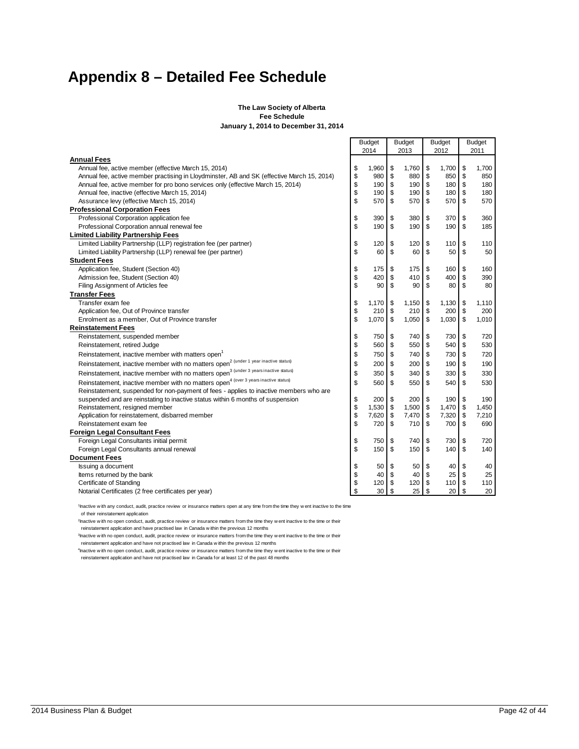# **Appendix 8 – Detailed Fee Schedule**

#### **The Law Society of Alberta Fee Schedule January 1, 2014 to December 31, 2014**

|                                                                                                  | <b>Budget</b><br>2014 |    | <b>Budget</b><br>2013 | <b>Budget</b><br>2012 | <b>Budget</b><br>2011 |
|--------------------------------------------------------------------------------------------------|-----------------------|----|-----------------------|-----------------------|-----------------------|
| <b>Annual Fees</b>                                                                               |                       |    |                       |                       |                       |
| Annual fee, active member (effective March 15, 2014)                                             | \$<br>1,960           | \$ | 1,760                 | \$<br>1,700           | \$<br>1,700           |
| Annual fee, active member practising in Lloydminster, AB and SK (effective March 15, 2014)       | \$<br>980             | \$ | 880                   | \$<br>850             | \$<br>850             |
| Annual fee, active member for pro bono services only (effective March 15, 2014)                  | \$<br>190             | \$ | 190                   | \$<br>180             | \$<br>180             |
| Annual fee, inactive (effective March 15, 2014)                                                  | \$<br>190             | \$ | 190                   | \$<br>180             | \$<br>180             |
| Assurance levy (effective March 15, 2014)                                                        | \$<br>570             | \$ | 570                   | \$<br>570             | \$<br>570             |
| <b>Professional Corporation Fees</b>                                                             |                       |    |                       |                       |                       |
| Professional Corporation application fee                                                         | \$<br>390             | \$ | 380                   | \$<br>370             | \$<br>360             |
| Professional Corporation annual renewal fee                                                      | \$<br>190             | \$ | 190                   | \$<br>190             | \$<br>185             |
| <b>Limited Liability Partnership Fees</b>                                                        |                       |    |                       |                       |                       |
| Limited Liability Partnership (LLP) registration fee (per partner)                               | \$<br>120             | \$ | 120                   | \$<br>110             | \$<br>110             |
| Limited Liability Partnership (LLP) renewal fee (per partner)                                    | \$<br>60              | \$ | 60                    | \$<br>50              | \$<br>50              |
| <b>Student Fees</b>                                                                              |                       |    |                       |                       |                       |
| Application fee, Student (Section 40)                                                            | \$<br>175             | \$ | 175                   | \$<br>160             | \$<br>160             |
| Admission fee, Student (Section 40)                                                              | \$<br>420             | \$ | 410                   | \$<br>400             | \$<br>390             |
| Filing Assignment of Articles fee                                                                | \$<br>90              | \$ | 90                    | \$<br>80              | \$<br>80              |
| <b>Transfer Fees</b>                                                                             |                       |    |                       |                       |                       |
| Transfer exam fee                                                                                | \$<br>1,170           | \$ | 1,150                 | \$<br>1,130           | \$<br>1,110           |
| Application fee, Out of Province transfer                                                        | \$<br>210             | \$ | 210                   | \$<br>200             | \$<br>200             |
| Enrolment as a member, Out of Province transfer                                                  | \$<br>1,070           | \$ | 1,050                 | \$<br>1,030           | \$<br>1,010           |
| <b>Reinstatement Fees</b>                                                                        |                       |    |                       |                       |                       |
| Reinstatement, suspended member                                                                  | \$<br>750             | \$ | 740                   | \$<br>730             | \$<br>720             |
| Reinstatement, retired Judge                                                                     | \$<br>560             | \$ | 550                   | \$<br>540             | \$<br>530             |
| Reinstatement, inactive member with matters open                                                 | \$<br>750             | \$ | 740                   | \$<br>730             | \$<br>720             |
| Reinstatement, inactive member with no matters open <sup>2 (under 1</sup> year inactive status)  | \$<br>200             | \$ | 200                   | \$<br>190             | \$<br>190             |
| Reinstatement, inactive member with no matters open <sup>3</sup> (under 3 years inactive status) | \$<br>350             | \$ | 340                   | \$<br>330             | \$<br>330             |
| Reinstatement, inactive member with no matters open <sup>4</sup> (over 3 years inactive status)  | \$<br>560             | \$ | 550                   | \$<br>540             | \$<br>530             |
| Reinstatement, suspended for non-payment of fees - applies to inactive members who are           |                       |    |                       |                       |                       |
| suspended and are reinstating to inactive status within 6 months of suspension                   | \$<br>200             | \$ | 200                   | \$<br>190             | \$<br>190             |
| Reinstatement, resigned member                                                                   | \$<br>1,530           | \$ | 1,500                 | \$<br>1,470           | \$<br>1,450           |
| Application for reinstatement, disbarred member                                                  | \$<br>7,620           | \$ | 7,470                 | \$<br>7,320           | \$<br>7,210           |
| Reinstatement exam fee                                                                           | \$<br>720             | \$ | 710                   | \$<br>700             | \$<br>690             |
| <b>Foreign Legal Consultant Fees</b>                                                             |                       |    |                       |                       |                       |
| Foreign Legal Consultants initial permit                                                         | \$<br>750             | \$ | 740                   | \$<br>730             | \$<br>720             |
| Foreign Legal Consultants annual renewal                                                         | \$<br>150             | \$ | 150                   | \$<br>140             | \$<br>140             |
| <b>Document Fees</b>                                                                             |                       |    |                       |                       |                       |
| Issuing a document                                                                               | \$<br>50              | S. | 50                    | \$<br>40              | \$<br>40              |
| Items returned by the bank                                                                       | \$<br>40              | \$ | 40                    | \$<br>25              | \$<br>25              |
| Certificate of Standing                                                                          | \$<br>120             | \$ | 120                   | \$<br>110             | \$<br>110             |
| Notarial Certificates (2 free certificates per year)                                             | \$<br>30              | \$ | 25                    | \$<br>20              | \$<br>20              |

1Inactive w ith any conduct, audit, practice review or insurance matters open at any time from the time they w ent inactive to the time of their reinstatement application

<sup>2</sup>Inactive w ith no open conduct, audit, practice review or insurance matters from the time they w ent inactive to the time or their

reinstatement application and have practised law in Canada w ithin the previous 12 months

<sup>3</sup>Inactive w ith no open conduct, audit, practice review or insurance matters from the time they w ent inactive to the time or their reinstatement application and have not practised law in Canada w ithin the previous 12 months

<sup>4</sup>hactive with no open conduct, audit, practice review or insurance matters from the time they went inactive to the time or their<br>reinstatement application and have not practised law in Canada for at least 12 of the past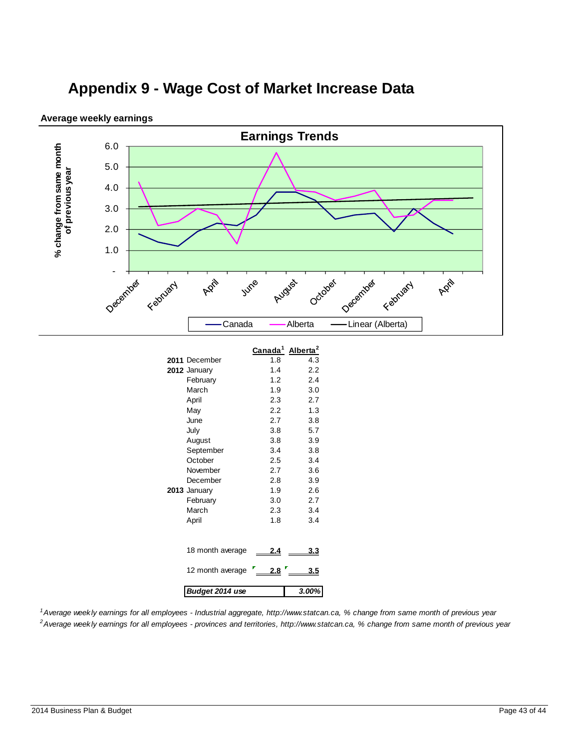# **Appendix 9 - Wage Cost of Market Increase Data**



**Average weekly earnings**

*1Average weekly earnings for all employees - Industrial aggregate, http://www.statcan.ca, % change from same month of previous year 2Average weekly earnings for all employees - provinces and territories, http://www.statcan.ca, % change from same month of previous year*

*Budget 2014 use 3.00%*